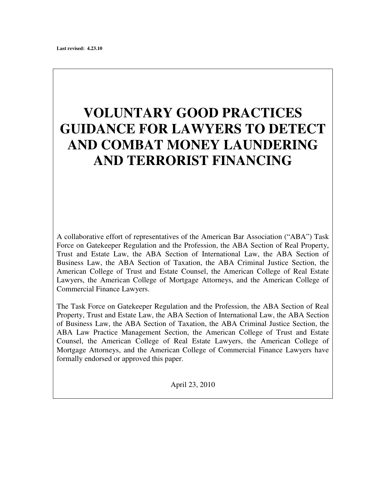# **VOLUNTARY GOOD PRACTICES GUIDANCE FOR LAWYERS TO DETECT AND COMBAT MONEY LAUNDERING AND TERRORIST FINANCING**

A collaborative effort of representatives of the American Bar Association ("ABA") Task Force on Gatekeeper Regulation and the Profession, the ABA Section of Real Property, Trust and Estate Law, the ABA Section of International Law, the ABA Section of Business Law, the ABA Section of Taxation, the ABA Criminal Justice Section, the American College of Trust and Estate Counsel, the American College of Real Estate Lawyers, the American College of Mortgage Attorneys, and the American College of Commercial Finance Lawyers.

The Task Force on Gatekeeper Regulation and the Profession, the ABA Section of Real Property, Trust and Estate Law, the ABA Section of International Law, the ABA Section of Business Law, the ABA Section of Taxation, the ABA Criminal Justice Section, the ABA Law Practice Management Section, the American College of Trust and Estate Counsel, the American College of Real Estate Lawyers, the American College of Mortgage Attorneys, and the American College of Commercial Finance Lawyers have formally endorsed or approved this paper.

April 23, 2010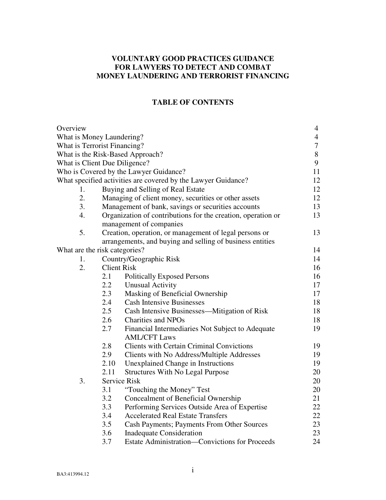# **VOLUNTARY GOOD PRACTICES GUIDANCE FOR LAWYERS TO DETECT AND COMBAT MONEY LAUNDERING AND TERRORIST FINANCING**

# **TABLE OF CONTENTS**

| Overview                                                      |                                                              |                                                                | $\overline{4}$ |  |  |
|---------------------------------------------------------------|--------------------------------------------------------------|----------------------------------------------------------------|----------------|--|--|
| What is Money Laundering?                                     |                                                              |                                                                |                |  |  |
| <b>What is Terrorist Financing?</b>                           |                                                              |                                                                |                |  |  |
| What is the Risk-Based Approach?                              |                                                              |                                                                |                |  |  |
| What is Client Due Diligence?                                 |                                                              |                                                                |                |  |  |
| Who is Covered by the Lawyer Guidance?                        |                                                              |                                                                |                |  |  |
| What specified activities are covered by the Lawyer Guidance? |                                                              |                                                                |                |  |  |
| 1.                                                            |                                                              | 12<br>Buying and Selling of Real Estate                        |                |  |  |
| 2.                                                            |                                                              | 12<br>Managing of client money, securities or other assets     |                |  |  |
| 3.                                                            |                                                              | 13<br>Management of bank, savings or securities accounts<br>13 |                |  |  |
| 4.                                                            | Organization of contributions for the creation, operation or |                                                                |                |  |  |
|                                                               | management of companies                                      |                                                                |                |  |  |
| 5.                                                            | Creation, operation, or management of legal persons or       |                                                                |                |  |  |
|                                                               | arrangements, and buying and selling of business entities    |                                                                |                |  |  |
| What are the risk categories?                                 |                                                              |                                                                | 14             |  |  |
| 1.                                                            |                                                              | Country/Geographic Risk                                        | 14             |  |  |
| 2.                                                            | <b>Client Risk</b>                                           |                                                                | 16             |  |  |
|                                                               | 2.1                                                          | <b>Politically Exposed Persons</b>                             | 16             |  |  |
|                                                               | $2.2\,$                                                      | <b>Unusual Activity</b>                                        | 17             |  |  |
|                                                               | 2.3                                                          | Masking of Beneficial Ownership                                | 17             |  |  |
|                                                               | 2.4                                                          | <b>Cash Intensive Businesses</b>                               | 18             |  |  |
|                                                               | 2.5                                                          | Cash Intensive Businesses—Mitigation of Risk                   | 18             |  |  |
|                                                               | 2.6                                                          | <b>Charities and NPOs</b>                                      | 18             |  |  |
|                                                               | 2.7                                                          | Financial Intermediaries Not Subject to Adequate               | 19             |  |  |
|                                                               |                                                              | <b>AML/CFT Laws</b>                                            |                |  |  |
|                                                               | 2.8                                                          | <b>Clients with Certain Criminal Convictions</b>               | 19             |  |  |
|                                                               | 2.9                                                          | Clients with No Address/Multiple Addresses                     | 19             |  |  |
|                                                               | 2.10                                                         | Unexplained Change in Instructions                             | 19             |  |  |
|                                                               | 2.11                                                         | <b>Structures With No Legal Purpose</b>                        | 20<br>20       |  |  |
| 3.                                                            |                                                              | Service Risk                                                   |                |  |  |
|                                                               | 3.1                                                          | "Touching the Money" Test                                      | 20             |  |  |
|                                                               | 3.2                                                          | <b>Concealment of Beneficial Ownership</b>                     | 21             |  |  |
|                                                               | 3.3                                                          | Performing Services Outside Area of Expertise                  | 22             |  |  |
|                                                               | 3.4                                                          | <b>Accelerated Real Estate Transfers</b>                       | 22             |  |  |
|                                                               | 3.5                                                          | Cash Payments; Payments From Other Sources                     | 23             |  |  |
|                                                               | 3.6                                                          | <b>Inadequate Consideration</b>                                | 23             |  |  |
|                                                               | 3.7                                                          | Estate Administration—Convictions for Proceeds                 | 24             |  |  |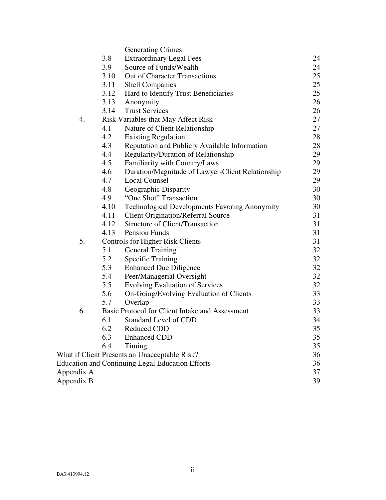|                                                         |                                                 | <b>Generating Crimes</b>                             |    |  |
|---------------------------------------------------------|-------------------------------------------------|------------------------------------------------------|----|--|
|                                                         | 3.8                                             | <b>Extraordinary Legal Fees</b>                      | 24 |  |
|                                                         | 3.9                                             | Source of Funds/Wealth                               | 24 |  |
|                                                         | 3.10                                            | Out of Character Transactions                        | 25 |  |
|                                                         | 3.11                                            | <b>Shell Companies</b>                               | 25 |  |
|                                                         | 3.12                                            | Hard to Identify Trust Beneficiaries                 | 25 |  |
|                                                         | 3.13                                            | Anonymity                                            | 26 |  |
|                                                         | 3.14                                            | <b>Trust Services</b>                                | 26 |  |
| 4.                                                      | Risk Variables that May Affect Risk             |                                                      |    |  |
|                                                         | 4.1                                             | Nature of Client Relationship                        | 27 |  |
|                                                         | 4.2                                             | <b>Existing Regulation</b>                           | 28 |  |
|                                                         | 4.3                                             | Reputation and Publicly Available Information        | 28 |  |
|                                                         | 4.4                                             | Regularity/Duration of Relationship                  | 29 |  |
|                                                         | 4.5                                             | Familiarity with Country/Laws                        | 29 |  |
|                                                         | 4.6                                             | Duration/Magnitude of Lawyer-Client Relationship     | 29 |  |
|                                                         | 4.7                                             | <b>Local Counsel</b>                                 | 29 |  |
|                                                         | 4.8                                             | Geographic Disparity                                 | 30 |  |
|                                                         | 4.9                                             | "One Shot" Transaction                               | 30 |  |
|                                                         | 4.10                                            | <b>Technological Developments Favoring Anonymity</b> | 30 |  |
|                                                         | 4.11                                            | <b>Client Origination/Referral Source</b>            | 31 |  |
|                                                         | 4.12                                            | <b>Structure of Client/Transaction</b>               | 31 |  |
|                                                         | 4.13                                            | <b>Pension Funds</b>                                 | 31 |  |
| 5.                                                      | <b>Controls for Higher Risk Clients</b>         |                                                      |    |  |
|                                                         | 5.1                                             | <b>General Training</b>                              | 32 |  |
|                                                         | 5.2                                             | <b>Specific Training</b>                             | 32 |  |
|                                                         | 5.3                                             | <b>Enhanced Due Diligence</b>                        | 32 |  |
|                                                         | 5.4                                             | Peer/Managerial Oversight                            | 32 |  |
|                                                         | 5.5                                             | Evolving Evaluation of Services                      | 32 |  |
|                                                         | 5.6                                             | On-Going/Evolving Evaluation of Clients              | 33 |  |
|                                                         | 5.7                                             | Overlap                                              | 33 |  |
| 6.                                                      | Basic Protocol for Client Intake and Assessment |                                                      |    |  |
|                                                         | 6.1                                             | Standard Level of CDD                                | 34 |  |
|                                                         | 6.2                                             | <b>Reduced CDD</b>                                   | 35 |  |
|                                                         | 6.3                                             | <b>Enhanced CDD</b>                                  | 35 |  |
|                                                         | 6.4                                             | Timing                                               | 35 |  |
| What if Client Presents an Unacceptable Risk?           |                                                 |                                                      |    |  |
| <b>Education and Continuing Legal Education Efforts</b> |                                                 |                                                      |    |  |
| Appendix A                                              |                                                 |                                                      |    |  |
| Appendix B                                              |                                                 |                                                      |    |  |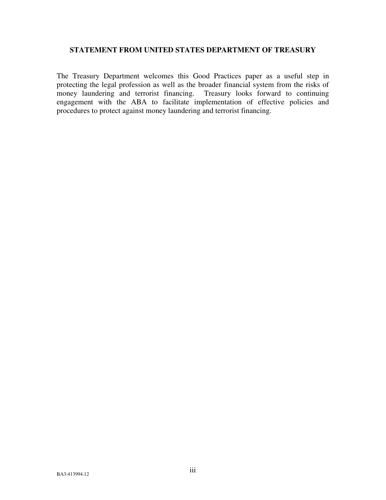## **STATEMENT FROM UNITED STATES DEPARTMENT OF TREASURY**

The Treasury Department welcomes this Good Practices paper as a useful step in protecting the legal profession as well as the broader financial system from the risks of money laundering and terrorist financing. Treasury looks forward to continuing engagement with the ABA to facilitate implementation of effective policies and procedures to protect against money laundering and terrorist financing.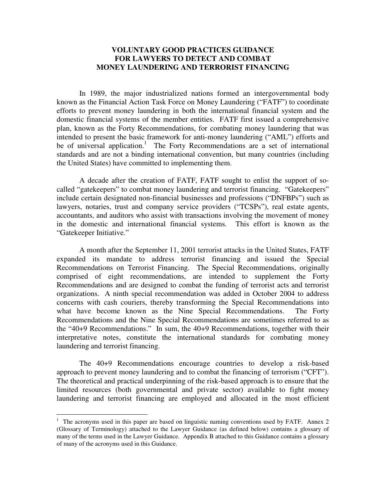## **VOLUNTARY GOOD PRACTICES GUIDANCE FOR LAWYERS TO DETECT AND COMBAT MONEY LAUNDERING AND TERRORIST FINANCING**

 In 1989, the major industrialized nations formed an intergovernmental body known as the Financial Action Task Force on Money Laundering ("FATF") to coordinate efforts to prevent money laundering in both the international financial system and the domestic financial systems of the member entities. FATF first issued a comprehensive plan, known as the Forty Recommendations, for combating money laundering that was intended to present the basic framework for anti-money laundering ("AML") efforts and be of universal application.<sup>[1](#page-4-0)</sup> The Forty Recommendations are a set of international standards and are not a binding international convention, but many countries (including the United States) have committed to implementing them.

 A decade after the creation of FATF, FATF sought to enlist the support of socalled "gatekeepers" to combat money laundering and terrorist financing. "Gatekeepers" include certain designated non-financial businesses and professions ("DNFBPs") such as lawyers, notaries, trust and company service providers ("TCSPs"), real estate agents, accountants, and auditors who assist with transactions involving the movement of money in the domestic and international financial systems. This effort is known as the "Gatekeeper Initiative."

 A month after the September 11, 2001 terrorist attacks in the United States, FATF expanded its mandate to address terrorist financing and issued the Special Recommendations on Terrorist Financing. The Special Recommendations, originally comprised of eight recommendations, are intended to supplement the Forty Recommendations and are designed to combat the funding of terrorist acts and terrorist organizations. A ninth special recommendation was added in October 2004 to address concerns with cash couriers, thereby transforming the Special Recommendations into what have become known as the Nine Special Recommendations. The Forty Recommendations and the Nine Special Recommendations are sometimes referred to as the "40+9 Recommendations." In sum, the 40+9 Recommendations, together with their interpretative notes, constitute the international standards for combating money laundering and terrorist financing.

 The 40+9 Recommendations encourage countries to develop a risk-based approach to prevent money laundering and to combat the financing of terrorism ("CFT"). The theoretical and practical underpinning of the risk-based approach is to ensure that the limited resources (both governmental and private sector) available to fight money laundering and terrorist financing are employed and allocated in the most efficient

<span id="page-4-0"></span> $\frac{1}{1}$  The acronyms used in this paper are based on linguistic naming conventions used by FATF. Annex 2 (Glossary of Terminology) attached to the Lawyer Guidance (as defined below) contains a glossary of many of the terms used in the Lawyer Guidance. Appendix B attached to this Guidance contains a glossary of many of the acronyms used in this Guidance.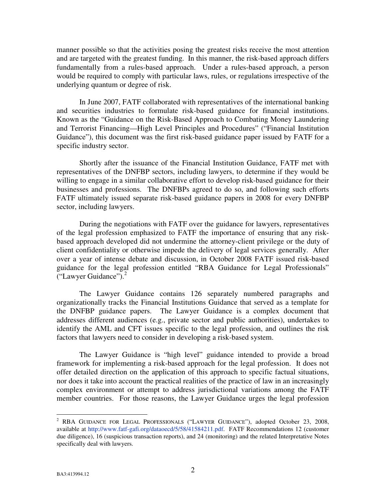manner possible so that the activities posing the greatest risks receive the most attention and are targeted with the greatest funding. In this manner, the risk-based approach differs fundamentally from a rules-based approach. Under a rules-based approach, a person would be required to comply with particular laws, rules, or regulations irrespective of the underlying quantum or degree of risk.

 In June 2007, FATF collaborated with representatives of the international banking and securities industries to formulate risk-based guidance for financial institutions. Known as the "Guidance on the Risk-Based Approach to Combating Money Laundering and Terrorist Financing—High Level Principles and Procedures" ("Financial Institution Guidance"), this document was the first risk-based guidance paper issued by FATF for a specific industry sector.

 Shortly after the issuance of the Financial Institution Guidance, FATF met with representatives of the DNFBP sectors, including lawyers, to determine if they would be willing to engage in a similar collaborative effort to develop risk-based guidance for their businesses and professions. The DNFBPs agreed to do so, and following such efforts FATF ultimately issued separate risk-based guidance papers in 2008 for every DNFBP sector, including lawyers.

 During the negotiations with FATF over the guidance for lawyers, representatives of the legal profession emphasized to FATF the importance of ensuring that any riskbased approach developed did not undermine the attorney-client privilege or the duty of client confidentiality or otherwise impede the delivery of legal services generally. After over a year of intense debate and discussion, in October 2008 FATF issued risk-based guidance for the legal profession entitled "RBA Guidance for Legal Professionals" ("Lawyer Guidance").<sup>[2](#page-5-0)</sup>

The Lawyer Guidance contains 126 separately numbered paragraphs and organizationally tracks the Financial Institutions Guidance that served as a template for the DNFBP guidance papers. The Lawyer Guidance is a complex document that addresses different audiences (e.g., private sector and public authorities), undertakes to identify the AML and CFT issues specific to the legal profession, and outlines the risk factors that lawyers need to consider in developing a risk-based system.

 The Lawyer Guidance is "high level" guidance intended to provide a broad framework for implementing a risk-based approach for the legal profession. It does not offer detailed direction on the application of this approach to specific factual situations, nor does it take into account the practical realities of the practice of law in an increasingly complex environment or attempt to address jurisdictional variations among the FATF member countries. For those reasons, the Lawyer Guidance urges the legal profession

<span id="page-5-0"></span> 2 RBA GUIDANCE FOR LEGAL PROFESSIONALS ("LAWYER GUIDANCE"), adopted October 23, 2008, available at http://www.fatf-gafi.org/dataoecd/5/58/41584211.pdf. FATF Recommendations 12 (customer due diligence), 16 (suspicious transaction reports), and 24 (monitoring) and the related Interpretative Notes specifically deal with lawyers.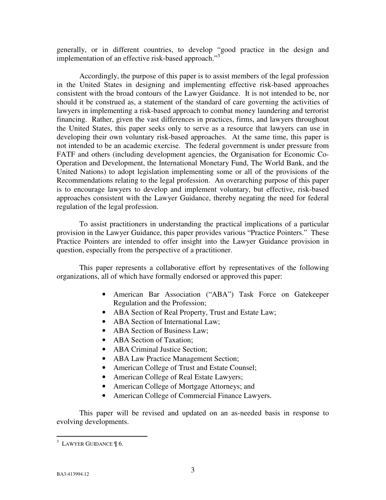generally, or in different countries, to develop "good practice in the design and implementation of an effective risk-based approach."<sup>[3](#page-6-0)</sup>

Accordingly, the purpose of this paper is to assist members of the legal profession in the United States in designing and implementing effective risk-based approaches consistent with the broad contours of the Lawyer Guidance. It is not intended to be, nor should it be construed as, a statement of the standard of care governing the activities of lawyers in implementing a risk-based approach to combat money laundering and terrorist financing. Rather, given the vast differences in practices, firms, and lawyers throughout the United States, this paper seeks only to serve as a resource that lawyers can use in developing their own voluntary risk-based approaches. At the same time, this paper is not intended to be an academic exercise. The federal government is under pressure from FATF and others (including development agencies, the Organisation for Economic Co-Operation and Development, the International Monetary Fund, The World Bank, and the United Nations) to adopt legislation implementing some or all of the provisions of the Recommendations relating to the legal profession. An overarching purpose of this paper is to encourage lawyers to develop and implement voluntary, but effective, risk-based approaches consistent with the Lawyer Guidance, thereby negating the need for federal regulation of the legal profession.

 To assist practitioners in understanding the practical implications of a particular provision in the Lawyer Guidance, this paper provides various "Practice Pointers." These Practice Pointers are intended to offer insight into the Lawyer Guidance provision in question, especially from the perspective of a practitioner.

 This paper represents a collaborative effort by representatives of the following organizations, all of which have formally endorsed or approved this paper:

- American Bar Association ("ABA") Task Force on Gatekeeper Regulation and the Profession;
- ABA Section of Real Property, Trust and Estate Law;
- ABA Section of International Law;
- ABA Section of Business Law:
- ABA Section of Taxation:
- ABA Criminal Justice Section:
- ABA Law Practice Management Section;
- American College of Trust and Estate Counsel;
- American College of Real Estate Lawyers;
- American College of Mortgage Attorneys; and
- American College of Commercial Finance Lawyers.

 This paper will be revised and updated on an as-needed basis in response to evolving developments.

<span id="page-6-0"></span> $\overline{a}$  $3$  LAWYER GUIDANCE  $\frac{1}{3}$  6.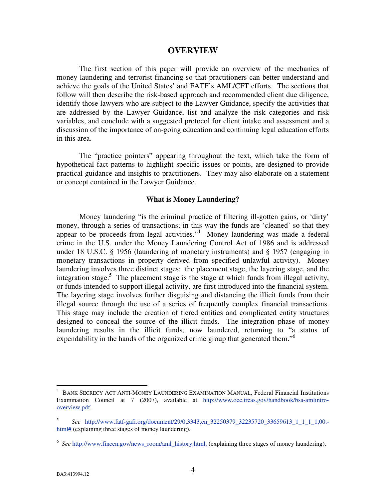#### **OVERVIEW**

 The first section of this paper will provide an overview of the mechanics of money laundering and terrorist financing so that practitioners can better understand and achieve the goals of the United States' and FATF's AML/CFT efforts. The sections that follow will then describe the risk-based approach and recommended client due diligence, identify those lawyers who are subject to the Lawyer Guidance, specify the activities that are addressed by the Lawyer Guidance, list and analyze the risk categories and risk variables, and conclude with a suggested protocol for client intake and assessment and a discussion of the importance of on-going education and continuing legal education efforts in this area.

 The "practice pointers" appearing throughout the text, which take the form of hypothetical fact patterns to highlight specific issues or points, are designed to provide practical guidance and insights to practitioners. They may also elaborate on a statement or concept contained in the Lawyer Guidance.

#### **What is Money Laundering?**

Money laundering "is the criminal practice of filtering ill-gotten gains, or 'dirty' money, through a series of transactions; in this way the funds are 'cleaned' so that they appear to be proceeds from legal activities."<sup>[4](#page-7-0)</sup> Money laundering was made a federal crime in the U.S. under the Money Laundering Control Act of 1986 and is addressed under 18 U.S.C. § 1956 (laundering of monetary instruments) and § 1957 (engaging in monetary transactions in property derived from specified unlawful activity). Money laundering involves three distinct stages: the placement stage, the layering stage, and the integration stage.<sup>[5](#page-7-1)</sup> The placement stage is the stage at which funds from illegal activity, or funds intended to support illegal activity, are first introduced into the financial system. The layering stage involves further disguising and distancing the illicit funds from their illegal source through the use of a series of frequently complex financial transactions. This stage may include the creation of tiered entities and complicated entity structures designed to conceal the source of the illicit funds. The integration phase of money laundering results in the illicit funds, now laundered, returning to "a status of expendability in the hands of the organized crime group that generated them."<sup>[6](#page-7-2)</sup>

 $\overline{a}$ 

<span id="page-7-0"></span><sup>4</sup> BANK SECRECY ACT ANTI-MONEY LAUNDERING EXAMINATION MANUAL, Federal Financial Institutions Examination Council at 7 (2007), available at http://www.occ.treas.gov/handbook/bsa-amlintrooverview.pdf.

<span id="page-7-1"></span><sup>5</sup>  *See* http://www.fatf-gafi.org/document/29/0,3343,en\_32250379\_32235720\_33659613\_1\_1\_1\_1,00. html# (explaining three stages of money laundering).

<span id="page-7-2"></span><sup>&</sup>lt;sup>6</sup> See http://www.fincen.gov/news\_room/aml\_history.html. (explaining three stages of money laundering).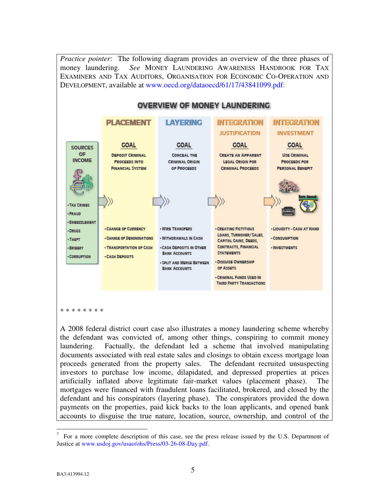*Practice pointer*: The following diagram provides an overview of the three phases of money laundering. *See* MONEY LAUNDERING AWARENESS HANDBOOK FOR TAX EXAMINERS AND TAX AUDITORS, ORGANISATION FOR ECONOMIC CO-OPERATION AND DEVELOPMENT, available at www.oecd.org/dataoecd/61/17/43841099.pdf:



\* \* \* \* \* \* \* \*

A 2008 federal district court case also illustrates a money laundering scheme whereby the defendant was convicted of, among other things, conspiring to commit money laundering. Factually, the defendant led a scheme that involved manipulating documents associated with real estate sales and closings to obtain excess mortgage loan proceeds generated from the property sales. The defendant recruited unsuspecting investors to purchase low income, dilapidated, and depressed properties at prices artificially inflated above legitimate fair-market values (placement phase). The mortgages were financed with fraudulent loans facilitated, brokered, and closed by the defendant and his conspirators (layering phase). The conspirators provided the down payments on the properties, paid kick backs to the loan applicants, and opened bank accounts to disguise the true nature, location, source, ownership, and control of the

<sup>&</sup>lt;u>.</u> 7 For a more complete description of this case, see the press release issued by the U.S. Department of Justice at www.usdoj.gov/usao/ohs/Press/03-26-08-Day.pdf.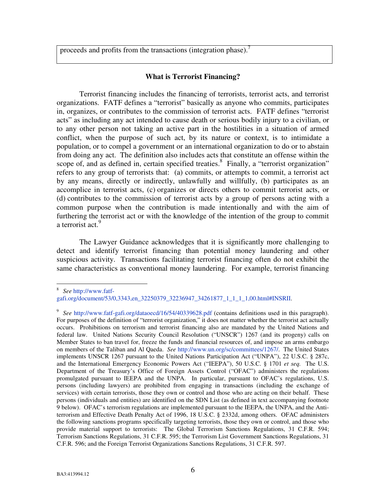proceeds and profits from the transactions (integration phase).<sup>[7](#page-9-0)</sup>

### **What is Terrorist Financing?**

Terrorist financing includes the financing of terrorists, terrorist acts, and terrorist organizations. FATF defines a "terrorist" basically as anyone who commits, participates in, organizes, or contributes to the commission of terrorist acts. FATF defines "terrorist acts" as including any act intended to cause death or serious bodily injury to a civilian, or to any other person not taking an active part in the hostilities in a situation of armed conflict, when the purpose of such act, by its nature or context, is to intimidate a population, or to compel a government or an international organization to do or to abstain from doing any act. The definition also includes acts that constitute an offense within the scope of, and as defined in, certain specified treaties. $8$  Finally, a "terrorist organization" refers to any group of terrorists that: (a) commits, or attempts to commit, a terrorist act by any means, directly or indirectly, unlawfully and willfully, (b) participates as an accomplice in terrorist acts, (c) organizes or directs others to commit terrorist acts, or (d) contributes to the commission of terrorist acts by a group of persons acting with a common purpose when the contribution is made intentionally and with the aim of furthering the terrorist act or with the knowledge of the intention of the group to commit a terrorist act.<sup>[9](#page-9-2)</sup>

The Lawyer Guidance acknowledges that it is significantly more challenging to detect and identify terrorist financing than potential money laundering and other suspicious activity. Transactions facilitating terrorist financing often do not exhibit the same characteristics as conventional money laundering. For example, terrorist financing

 8 *See* http://www.fatf-

<span id="page-9-1"></span>gafi.org/document/53/0,3343,en\_32250379\_32236947\_34261877\_1\_1\_1\_1,00.html#INSRII.

<span id="page-9-2"></span><span id="page-9-0"></span><sup>&</sup>lt;sup>9</sup> See http://www.fatf-gafi.org/dataoecd/16/54/40339628.pdf (contains definitions used in this paragraph). For purposes of the definition of "terrorist organization," it does not matter whether the terrorist act actually occurs. Prohibitions on terrorism and terrorist financing also are mandated by the United Nations and federal law. United Nations Security Council Resolution ("UNSCR") 1267 (and its progeny) calls on Member States to ban travel for, freeze the funds and financial resources of, and impose an arms embargo on members of the Taliban and Al Qaeda. *See* http://www.un.org/sc/committees/1267/. The United States implements UNSCR 1267 pursuant to the United Nations Participation Act ("UNPA"), 22 U.S.C. § 287c, and the International Emergency Economic Powers Act ("IEEPA"), 50 U.S.C. § 1701 *et seq.* The U.S. Department of the Treasury's Office of Foreign Assets Control ("OFAC") administers the regulations promulgated pursuant to IEEPA and the UNPA. In particular, pursuant to OFAC's regulations, U.S. persons (including lawyers) are prohibited from engaging in transactions (including the exchange of services) with certain terrorists, those they own or control and those who are acting on their behalf. These persons (individuals and entities) are identified on the SDN List (as defined in text accompanying footnote 9 below). OFAC's terrorism regulations are implemented pursuant to the IEEPA, the UNPA, and the Antiterrorism and Effective Death Penalty Act of 1996, 18 U.S.C. § 2332d, among others. OFAC administers the following sanctions programs specifically targeting terrorists, those they own or control, and those who provide material support to terrorists: The Global Terrorism Sanctions Regulations, 31 C.F.R. 594; Terrorism Sanctions Regulations, 31 C.F.R. 595; the Terrorism List Government Sanctions Regulations, 31 C.F.R. 596; and the Foreign Terrorist Organizations Sanctions Regulations, 31 C.F.R. 597.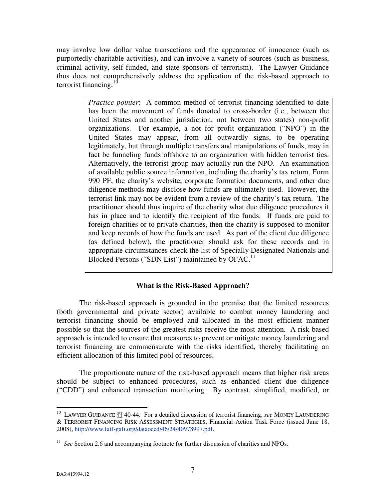may involve low dollar value transactions and the appearance of innocence (such as purportedly charitable activities), and can involve a variety of sources (such as business, criminal activity, self-funded, and state sponsors of terrorism). The Lawyer Guidance thus does not comprehensively address the application of the risk-based approach to terrorist financing. $10$ 

> *Practice pointer*: A common method of terrorist financing identified to date has been the movement of funds donated to cross-border (i.e., between the United States and another jurisdiction, not between two states) non-profit organizations. For example, a not for profit organization ("NPO") in the United States may appear, from all outwardly signs, to be operating legitimately, but through multiple transfers and manipulations of funds, may in fact be funneling funds offshore to an organization with hidden terrorist ties. Alternatively, the terrorist group may actually run the NPO. An examination of available public source information, including the charity's tax return, Form 990 PF, the charity's website, corporate formation documents, and other due diligence methods may disclose how funds are ultimately used. However, the terrorist link may not be evident from a review of the charity's tax return. The practitioner should thus inquire of the charity what due diligence procedures it has in place and to identify the recipient of the funds. If funds are paid to foreign charities or to private charities, then the charity is supposed to monitor and keep records of how the funds are used. As part of the client due diligence (as defined below), the practitioner should ask for these records and in appropriate circumstances check the list of Specially Designated Nationals and Blocked Persons ("SDN List") maintained by  $OFAC$ <sup>[11](#page-10-1)</sup>

## **What is the Risk-Based Approach?**

 The risk-based approach is grounded in the premise that the limited resources (both governmental and private sector) available to combat money laundering and terrorist financing should be employed and allocated in the most efficient manner possible so that the sources of the greatest risks receive the most attention. A risk-based approach is intended to ensure that measures to prevent or mitigate money laundering and terrorist financing are commensurate with the risks identified, thereby facilitating an efficient allocation of this limited pool of resources.

 The proportionate nature of the risk-based approach means that higher risk areas should be subject to enhanced procedures, such as enhanced client due diligence ("CDD") and enhanced transaction monitoring. By contrast, simplified, modified, or

-

<span id="page-10-0"></span><sup>10</sup> LAWYER GUIDANCE ¶¶ 40-44. For a detailed discussion of terrorist financing, *see* MONEY LAUNDERING & TERRORIST FINANCING RISK ASSESSMENT STRATEGIES, Financial Action Task Force (issued June 18, 2008), http://www.fatf-gafi.org/dataoecd/46/24/40978997.pdf.

<span id="page-10-1"></span><sup>&</sup>lt;sup>11</sup> See Section 2.6 and accompanying footnote for further discussion of charities and NPOs.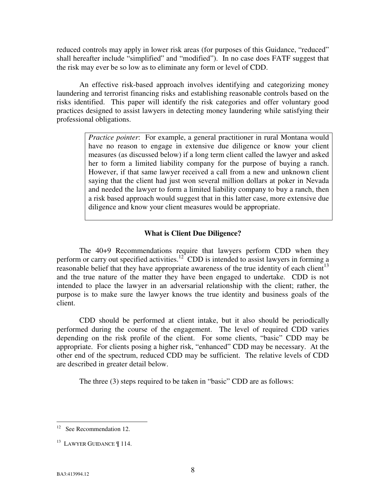reduced controls may apply in lower risk areas (for purposes of this Guidance, "reduced" shall hereafter include "simplified" and "modified"). In no case does FATF suggest that the risk may ever be so low as to eliminate any form or level of CDD.

 An effective risk-based approach involves identifying and categorizing money laundering and terrorist financing risks and establishing reasonable controls based on the risks identified. This paper will identify the risk categories and offer voluntary good practices designed to assist lawyers in detecting money laundering while satisfying their professional obligations.

> *Practice pointer*: For example, a general practitioner in rural Montana would have no reason to engage in extensive due diligence or know your client measures (as discussed below) if a long term client called the lawyer and asked her to form a limited liability company for the purpose of buying a ranch. However, if that same lawyer received a call from a new and unknown client saying that the client had just won several million dollars at poker in Nevada and needed the lawyer to form a limited liability company to buy a ranch, then a risk based approach would suggest that in this latter case, more extensive due diligence and know your client measures would be appropriate.

#### **What is Client Due Diligence?**

The 40+9 Recommendations require that lawyers perform CDD when they perform or carry out specified activities.<sup>[12](#page-11-0)</sup> CDD is intended to assist lawyers in forming a reasonable belief that they have appropriate awareness of the true identity of each client<sup>[13](#page-11-1)</sup> and the true nature of the matter they have been engaged to undertake. CDD is not intended to place the lawyer in an adversarial relationship with the client; rather, the purpose is to make sure the lawyer knows the true identity and business goals of the client.

CDD should be performed at client intake, but it also should be periodically performed during the course of the engagement. The level of required CDD varies depending on the risk profile of the client. For some clients, "basic" CDD may be appropriate. For clients posing a higher risk, "enhanced" CDD may be necessary. At the other end of the spectrum, reduced CDD may be sufficient. The relative levels of CDD are described in greater detail below.

The three (3) steps required to be taken in "basic" CDD are as follows:

 $\overline{a}$ 

<span id="page-11-0"></span> $12$  See Recommendation 12.

<span id="page-11-1"></span><sup>&</sup>lt;sup>13</sup> LAWYER GUIDANCE | 114.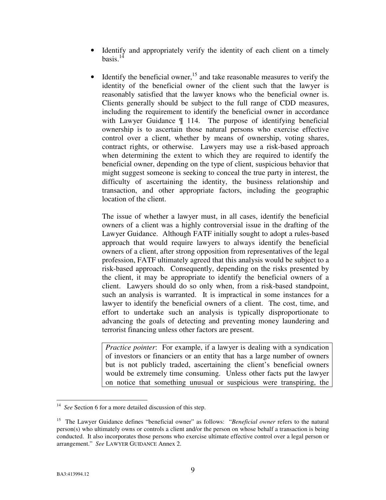- Identify and appropriately verify the identity of each client on a timely basis. $14$
- Identify the beneficial owner,  $15$  and take reasonable measures to verify the identity of the beneficial owner of the client such that the lawyer is reasonably satisfied that the lawyer knows who the beneficial owner is. Clients generally should be subject to the full range of CDD measures, including the requirement to identify the beneficial owner in accordance with Lawyer Guidance  $\P$  114. The purpose of identifying beneficial ownership is to ascertain those natural persons who exercise effective control over a client, whether by means of ownership, voting shares, contract rights, or otherwise. Lawyers may use a risk-based approach when determining the extent to which they are required to identify the beneficial owner, depending on the type of client, suspicious behavior that might suggest someone is seeking to conceal the true party in interest, the difficulty of ascertaining the identity, the business relationship and transaction, and other appropriate factors, including the geographic location of the client.

The issue of whether a lawyer must, in all cases, identify the beneficial owners of a client was a highly controversial issue in the drafting of the Lawyer Guidance. Although FATF initially sought to adopt a rules-based approach that would require lawyers to always identify the beneficial owners of a client, after strong opposition from representatives of the legal profession, FATF ultimately agreed that this analysis would be subject to a risk-based approach. Consequently, depending on the risks presented by the client, it may be appropriate to identify the beneficial owners of a client. Lawyers should do so only when, from a risk-based standpoint, such an analysis is warranted. It is impractical in some instances for a lawyer to identify the beneficial owners of a client. The cost, time, and effort to undertake such an analysis is typically disproportionate to advancing the goals of detecting and preventing money laundering and terrorist financing unless other factors are present.

*Practice pointer*: For example, if a lawyer is dealing with a syndication of investors or financiers or an entity that has a large number of owners but is not publicly traded, ascertaining the client's beneficial owners would be extremely time consuming. Unless other facts put the lawyer on notice that something unusual or suspicious were transpiring, the

<span id="page-12-0"></span><sup>&</sup>lt;sup>14</sup> *See* Section 6 for a more detailed discussion of this step.

<span id="page-12-1"></span><sup>15</sup> The Lawyer Guidance defines "beneficial owner" as follows: "*Beneficial owner* refers to the natural person(s) who ultimately owns or controls a client and/or the person on whose behalf a transaction is being conducted. It also incorporates those persons who exercise ultimate effective control over a legal person or arrangement." *See* LAWYER GUIDANCE Annex 2.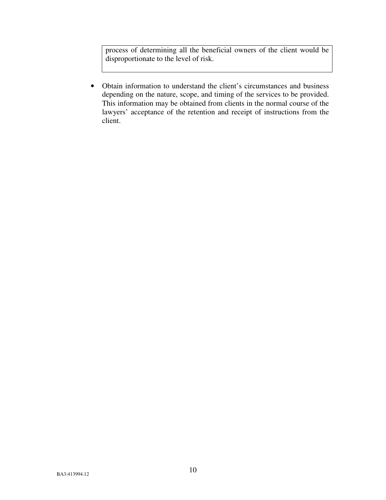process of determining all the beneficial owners of the client would be disproportionate to the level of risk.

• Obtain information to understand the client's circumstances and business depending on the nature, scope, and timing of the services to be provided. This information may be obtained from clients in the normal course of the lawyers' acceptance of the retention and receipt of instructions from the client.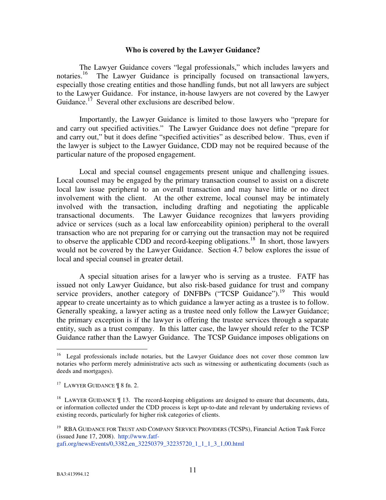#### **Who is covered by the Lawyer Guidance?**

 The Lawyer Guidance covers "legal professionals," which includes lawyers and notaries.<sup>[16](#page-14-0)</sup> The Lawyer Guidance is principally focused on transactional lawyers, especially those creating entities and those handling funds, but not all lawyers are subject to the Lawyer Guidance. For instance, in-house lawyers are not covered by the Lawyer Guidance.<sup>[17](#page-14-1)</sup> Several other exclusions are described below.

Importantly, the Lawyer Guidance is limited to those lawyers who "prepare for and carry out specified activities." The Lawyer Guidance does not define "prepare for and carry out," but it does define "specified activities" as described below. Thus, even if the lawyer is subject to the Lawyer Guidance, CDD may not be required because of the particular nature of the proposed engagement.

 Local and special counsel engagements present unique and challenging issues. Local counsel may be engaged by the primary transaction counsel to assist on a discrete local law issue peripheral to an overall transaction and may have little or no direct involvement with the client. At the other extreme, local counsel may be intimately involved with the transaction, including drafting and negotiating the applicable transactional documents. The Lawyer Guidance recognizes that lawyers providing advice or services (such as a local law enforceability opinion) peripheral to the overall transaction who are not preparing for or carrying out the transaction may not be required to observe the applicable CDD and record-keeping obligations.<sup>[18](#page-14-2)</sup> In short, those lawyers would not be covered by the Lawyer Guidance. Section 4.7 below explores the issue of local and special counsel in greater detail.

 A special situation arises for a lawyer who is serving as a trustee. FATF has issued not only Lawyer Guidance, but also risk-based guidance for trust and company service providers, another category of DNFBPs ("TCSP Guidance").<sup>[19](#page-14-3)</sup> This would appear to create uncertainty as to which guidance a lawyer acting as a trustee is to follow. Generally speaking, a lawyer acting as a trustee need only follow the Lawyer Guidance; the primary exception is if the lawyer is offering the trustee services through a separate entity, such as a trust company. In this latter case, the lawyer should refer to the TCSP Guidance rather than the Lawyer Guidance. The TCSP Guidance imposes obligations on

 $\overline{a}$ 

<span id="page-14-0"></span><sup>&</sup>lt;sup>16</sup> Legal professionals include notaries, but the Lawyer Guidance does not cover those common law notaries who perform merely administrative acts such as witnessing or authenticating documents (such as deeds and mortgages).

<span id="page-14-1"></span><sup>&</sup>lt;sup>17</sup> LAWYER GUIDANCE | 8 fn. 2.

<span id="page-14-2"></span><sup>&</sup>lt;sup>18</sup> LAWYER GUIDANCE  $\P$  13. The record-keeping obligations are designed to ensure that documents, data, or information collected under the CDD process is kept up-to-date and relevant by undertaking reviews of existing records, particularly for higher risk categories of clients.

<span id="page-14-3"></span><sup>&</sup>lt;sup>19</sup> RBA GUIDANCE FOR TRUST AND COMPANY SERVICE PROVIDERS (TCSPS), Financial Action Task Force (issued June 17, 2008). http://www.fatfgafi.org/newsEvents/0,3382,en\_32250379\_32235720\_1\_1\_1\_3\_1,00.html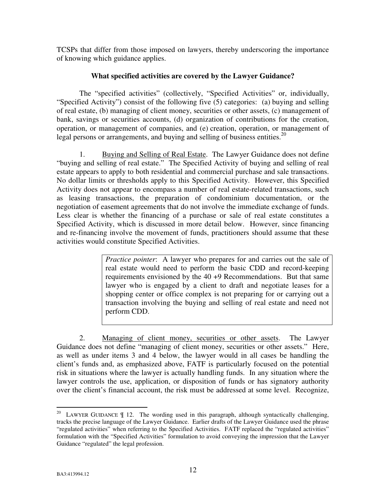TCSPs that differ from those imposed on lawyers, thereby underscoring the importance of knowing which guidance applies.

## **What specified activities are covered by the Lawyer Guidance?**

The "specified activities" (collectively, "Specified Activities" or, individually, "Specified Activity") consist of the following five (5) categories: (a) buying and selling of real estate, (b) managing of client money, securities or other assets, (c) management of bank, savings or securities accounts, (d) organization of contributions for the creation, operation, or management of companies, and (e) creation, operation, or management of legal persons or arrangements, and buying and selling of business entities.<sup>[20](#page-15-0)</sup>

1. Buying and Selling of Real Estate. The Lawyer Guidance does not define "buying and selling of real estate." The Specified Activity of buying and selling of real estate appears to apply to both residential and commercial purchase and sale transactions. No dollar limits or thresholds apply to this Specified Activity. However, this Specified Activity does not appear to encompass a number of real estate-related transactions, such as leasing transactions, the preparation of condominium documentation, or the negotiation of easement agreements that do not involve the immediate exchange of funds. Less clear is whether the financing of a purchase or sale of real estate constitutes a Specified Activity, which is discussed in more detail below. However, since financing and re-financing involve the movement of funds, practitioners should assume that these activities would constitute Specified Activities.

> *Practice pointer*: A lawyer who prepares for and carries out the sale of real estate would need to perform the basic CDD and record-keeping requirements envisioned by the 40 +9 Recommendations. But that same lawyer who is engaged by a client to draft and negotiate leases for a shopping center or office complex is not preparing for or carrying out a transaction involving the buying and selling of real estate and need not perform CDD.

2. Managing of client money, securities or other assets. The Lawyer Guidance does not define "managing of client money, securities or other assets." Here, as well as under items 3 and 4 below, the lawyer would in all cases be handling the client's funds and, as emphasized above, FATF is particularly focused on the potential risk in situations where the lawyer is actually handling funds. In any situation where the lawyer controls the use, application, or disposition of funds or has signatory authority over the client's financial account, the risk must be addressed at some level. Recognize,

<span id="page-15-0"></span><sup>-</sup><sup>20</sup> LAWYER GUIDANCE  $\parallel$  12. The wording used in this paragraph, although syntactically challenging, tracks the precise language of the Lawyer Guidance. Earlier drafts of the Lawyer Guidance used the phrase "regulated activities" when referring to the Specified Activities. FATF replaced the "regulated activities" formulation with the "Specified Activities" formulation to avoid conveying the impression that the Lawyer Guidance "regulated" the legal profession.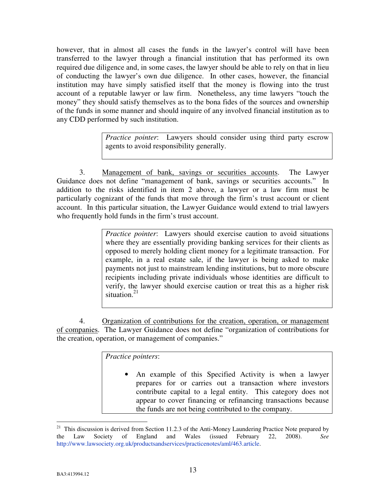however, that in almost all cases the funds in the lawyer's control will have been transferred to the lawyer through a financial institution that has performed its own required due diligence and, in some cases, the lawyer should be able to rely on that in lieu of conducting the lawyer's own due diligence. In other cases, however, the financial institution may have simply satisfied itself that the money is flowing into the trust account of a reputable lawyer or law firm. Nonetheless, any time lawyers "touch the money" they should satisfy themselves as to the bona fides of the sources and ownership of the funds in some manner and should inquire of any involved financial institution as to any CDD performed by such institution.

> *Practice pointer*: Lawyers should consider using third party escrow agents to avoid responsibility generally.

3. Management of bank, savings or securities accounts. The Lawyer Guidance does not define "management of bank, savings or securities accounts." In addition to the risks identified in item 2 above, a lawyer or a law firm must be particularly cognizant of the funds that move through the firm's trust account or client account. In this particular situation, the Lawyer Guidance would extend to trial lawyers who frequently hold funds in the firm's trust account.

> *Practice pointer*: Lawyers should exercise caution to avoid situations where they are essentially providing banking services for their clients as opposed to merely holding client money for a legitimate transaction. For example, in a real estate sale, if the lawyer is being asked to make payments not just to mainstream lending institutions, but to more obscure recipients including private individuals whose identities are difficult to verify, the lawyer should exercise caution or treat this as a higher risk situation.<sup>[21](#page-16-0)</sup>

4. Organization of contributions for the creation, operation, or management of companies. The Lawyer Guidance does not define "organization of contributions for the creation, operation, or management of companies."

*Practice pointers*:

An example of this Specified Activity is when a lawyer prepares for or carries out a transaction where investors contribute capital to a legal entity. This category does not appear to cover financing or refinancing transactions because the funds are not being contributed to the company.

<span id="page-16-0"></span><sup>&</sup>lt;u>.</u> <sup>21</sup> This discussion is derived from Section 11.2.3 of the Anti-Money Laundering Practice Note prepared by the Law Society of England and Wales (issued February 22, 2008). *See* http://www.lawsociety.org.uk/productsandservices/practicenotes/aml/463.article.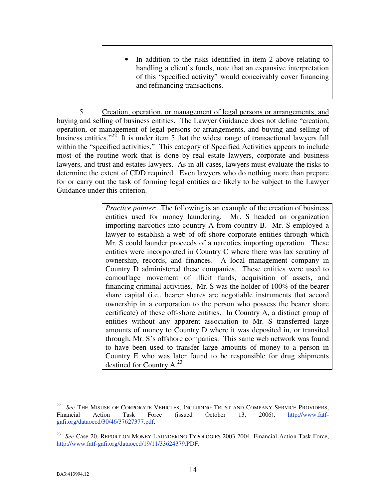• In addition to the risks identified in item 2 above relating to handling a client's funds, note that an expansive interpretation of this "specified activity" would conceivably cover financing and refinancing transactions.

5. Creation, operation, or management of legal persons or arrangements, and buying and selling of business entities. The Lawyer Guidance does not define "creation, operation, or management of legal persons or arrangements, and buying and selling of business entities." $22$  It is under item 5 that the widest range of transactional lawyers fall within the "specified activities." This category of Specified Activities appears to include most of the routine work that is done by real estate lawyers, corporate and business lawyers, and trust and estates lawyers. As in all cases, lawyers must evaluate the risks to determine the extent of CDD required. Even lawyers who do nothing more than prepare for or carry out the task of forming legal entities are likely to be subject to the Lawyer Guidance under this criterion.

> *Practice pointer*: The following is an example of the creation of business entities used for money laundering. Mr. S headed an organization importing narcotics into country A from country B. Mr. S employed a lawyer to establish a web of off-shore corporate entities through which Mr. S could launder proceeds of a narcotics importing operation. These entities were incorporated in Country C where there was lax scrutiny of ownership, records, and finances. A local management company in Country D administered these companies. These entities were used to camouflage movement of illicit funds, acquisition of assets, and financing criminal activities. Mr. S was the holder of 100% of the bearer share capital (i.e., bearer shares are negotiable instruments that accord ownership in a corporation to the person who possess the bearer share certificate) of these off-shore entities. In Country A, a distinct group of entities without any apparent association to Mr. S transferred large amounts of money to Country D where it was deposited in, or transited through, Mr. S's offshore companies. This same web network was found to have been used to transfer large amounts of money to a person in Country E who was later found to be responsible for drug shipments destined for Country A.<sup>[23](#page-17-1)</sup>

<span id="page-17-0"></span> $\frac{1}{22}$  *See* THE MISUSE OF CORPORATE VEHICLES, INCLUDING TRUST AND COMPANY SERVICE PROVIDERS, Financial Action Task Force (issued October 13, 2006), http://www.fatfgafi.org/dataoecd/30/46/37627377.pdf.

<span id="page-17-1"></span><sup>&</sup>lt;sup>23</sup> See Case 20, REPORT ON MONEY LAUNDERING TYPOLOGIES 2003-2004, Financial Action Task Force, http://www.fatf-gafi.org/dataoecd/19/11/33624379.PDF.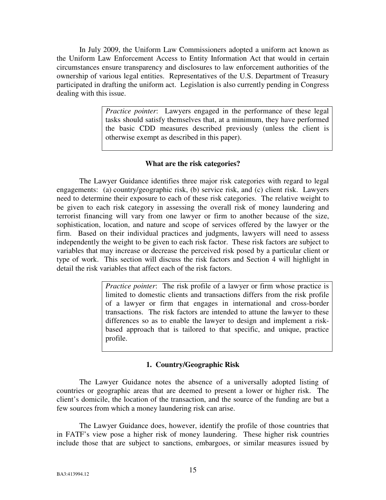In July 2009, the Uniform Law Commissioners adopted a uniform act known as the Uniform Law Enforcement Access to Entity Information Act that would in certain circumstances ensure transparency and disclosures to law enforcement authorities of the ownership of various legal entities. Representatives of the U.S. Department of Treasury participated in drafting the uniform act. Legislation is also currently pending in Congress dealing with this issue.

> *Practice pointer*: Lawyers engaged in the performance of these legal tasks should satisfy themselves that, at a minimum, they have performed the basic CDD measures described previously (unless the client is otherwise exempt as described in this paper).

## **What are the risk categories?**

The Lawyer Guidance identifies three major risk categories with regard to legal engagements: (a) country/geographic risk, (b) service risk, and (c) client risk. Lawyers need to determine their exposure to each of these risk categories. The relative weight to be given to each risk category in assessing the overall risk of money laundering and terrorist financing will vary from one lawyer or firm to another because of the size, sophistication, location, and nature and scope of services offered by the lawyer or the firm. Based on their individual practices and judgments, lawyers will need to assess independently the weight to be given to each risk factor. These risk factors are subject to variables that may increase or decrease the perceived risk posed by a particular client or type of work. This section will discuss the risk factors and Section 4 will highlight in detail the risk variables that affect each of the risk factors.

> *Practice pointer*: The risk profile of a lawyer or firm whose practice is limited to domestic clients and transactions differs from the risk profile of a lawyer or firm that engages in international and cross-border transactions. The risk factors are intended to attune the lawyer to these differences so as to enable the lawyer to design and implement a riskbased approach that is tailored to that specific, and unique, practice profile.

## **1. Country/Geographic Risk**

The Lawyer Guidance notes the absence of a universally adopted listing of countries or geographic areas that are deemed to present a lower or higher risk. The client's domicile, the location of the transaction, and the source of the funding are but a few sources from which a money laundering risk can arise.

The Lawyer Guidance does, however, identify the profile of those countries that in FATF's view pose a higher risk of money laundering. These higher risk countries include those that are subject to sanctions, embargoes, or similar measures issued by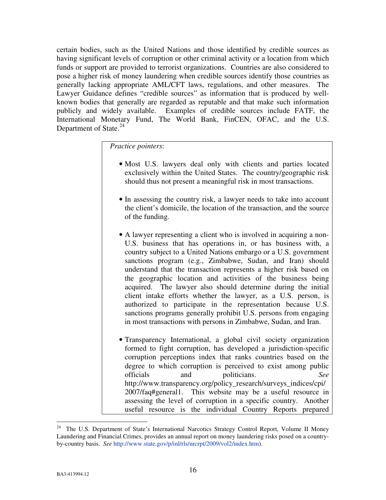certain bodies, such as the United Nations and those identified by credible sources as having significant levels of corruption or other criminal activity or a location from which funds or support are provided to terrorist organizations. Countries are also considered to pose a higher risk of money laundering when credible sources identify those countries as generally lacking appropriate AML/CFT laws, regulations, and other measures. The Lawyer Guidance defines "credible sources" as information that is produced by wellknown bodies that generally are regarded as reputable and that make such information publicly and widely available. Examples of credible sources include FATF, the International Monetary Fund, The World Bank, FinCEN, OFAC, and the U.S. Department of State.<sup>[24](#page-19-0)</sup>

*Practice pointers*:

- Most U.S. lawyers deal only with clients and parties located exclusively within the United States. The country/geographic risk should thus not present a meaningful risk in most transactions.
- In assessing the country risk, a lawyer needs to take into account the client's domicile, the location of the transaction, and the source of the funding.
- A lawyer representing a client who is involved in acquiring a non-U.S. business that has operations in, or has business with, a country subject to a United Nations embargo or a U.S. government sanctions program (e.g., Zimbabwe, Sudan, and Iran) should understand that the transaction represents a higher risk based on the geographic location and activities of the business being acquired. The lawyer also should determine during the initial client intake efforts whether the lawyer, as a U.S. person, is authorized to participate in the representation because U.S. sanctions programs generally prohibit U.S. persons from engaging in most transactions with persons in Zimbabwe, Sudan, and Iran.
- Transparency International, a global civil society organization formed to fight corruption, has developed a jurisdiction-specific corruption perceptions index that ranks countries based on the degree to which corruption is perceived to exist among public officials and politicians. *See* [http://www.transparency.org/policy\\_research/surveys\\_indices/cpi/](http://www.transparency.org/policy_research/surveys_indices/cpi/2007/faq) [2007/faq#general1](http://www.transparency.org/policy_research/surveys_indices/cpi/2007/faq). This website may be a useful resource in assessing the level of corruption in a specific country. Another useful resource is the individual Country Reports prepared

<u>.</u>

<span id="page-19-0"></span><sup>&</sup>lt;sup>24</sup> The U.S. Department of State's International Narcotics Strategy Control Report, Volume II Money Laundering and Financial Crimes, provides an annual report on money laundering risks posed on a countryby-country basis. *See* http://www.state.gov/p/inl/rls/nrcrpt/2009/vol2/index.htm).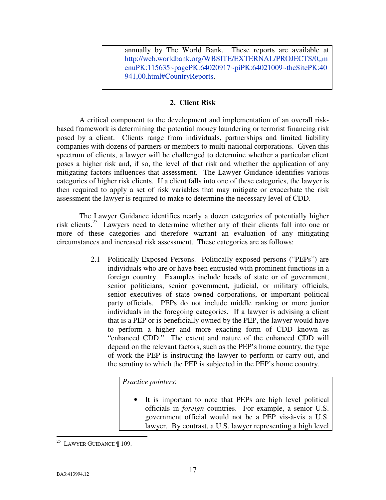annually by The World Bank. These reports are available at [http://web.worldbank.org/WBSITE/EXTERNAL/PROJECTS/0,,m](http://web.worldbank.org/WBSITE/EXTERNAL/PROJECTS/0,,menuPK:115635~pagePK:64020917~piPK:64021009~theSitePK:40941,00.html) [enuPK:115635~pagePK:64020917~piPK:64021009~theSitePK:40](http://web.worldbank.org/WBSITE/EXTERNAL/PROJECTS/0,,menuPK:115635~pagePK:64020917~piPK:64021009~theSitePK:40941,00.html) [941,00.html#CountryReports](http://web.worldbank.org/WBSITE/EXTERNAL/PROJECTS/0,,menuPK:115635~pagePK:64020917~piPK:64021009~theSitePK:40941,00.html).

## **2. Client Risk**

A critical component to the development and implementation of an overall riskbased framework is determining the potential money laundering or terrorist financing risk posed by a client. Clients range from individuals, partnerships and limited liability companies with dozens of partners or members to multi-national corporations. Given this spectrum of clients, a lawyer will be challenged to determine whether a particular client poses a higher risk and, if so, the level of that risk and whether the application of any mitigating factors influences that assessment. The Lawyer Guidance identifies various categories of higher risk clients. If a client falls into one of these categories, the lawyer is then required to apply a set of risk variables that may mitigate or exacerbate the risk assessment the lawyer is required to make to determine the necessary level of CDD.

The Lawyer Guidance identifies nearly a dozen categories of potentially higher risk clients.[25](#page-20-0) Lawyers need to determine whether any of their clients fall into one or more of these categories and therefore warrant an evaluation of any mitigating circumstances and increased risk assessment. These categories are as follows:

> 2.1 Politically Exposed Persons. Politically exposed persons ("PEPs") are individuals who are or have been entrusted with prominent functions in a foreign country. Examples include heads of state or of government, senior politicians, senior government, judicial, or military officials, senior executives of state owned corporations, or important political party officials. PEPs do not include middle ranking or more junior individuals in the foregoing categories. If a lawyer is advising a client that is a PEP or is beneficially owned by the PEP, the lawyer would have to perform a higher and more exacting form of CDD known as "enhanced CDD." The extent and nature of the enhanced CDD will depend on the relevant factors, such as the PEP's home country, the type of work the PEP is instructing the lawyer to perform or carry out, and the scrutiny to which the PEP is subjected in the PEP's home country.

# *Practice pointers*:

It is important to note that PEPs are high level political officials in *foreign* countries. For example, a senior U.S. government official would not be a PEP vis-à-vis a U.S. lawyer. By contrast, a U.S. lawyer representing a high level

<span id="page-20-0"></span><sup>&</sup>lt;u>.</u> <sup>25</sup> LAWYER GUIDANCE  $\P$  109.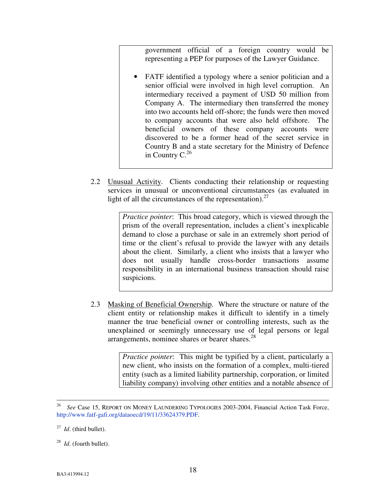government official of a foreign country would be representing a PEP for purposes of the Lawyer Guidance.

- FATF identified a typology where a senior politician and a senior official were involved in high level corruption. An intermediary received a payment of USD 50 million from Company A. The intermediary then transferred the money into two accounts held off-shore; the funds were then moved to company accounts that were also held offshore. The beneficial owners of these company accounts were discovered to be a former head of the secret service in Country B and a state secretary for the Ministry of Defence in Country  $C^{26}$  $C^{26}$  $C^{26}$
- 2.2 Unusual Activity. Clients conducting their relationship or requesting services in unusual or unconventional circumstances (as evaluated in light of all the circumstances of the representation). $27$

*Practice pointer*: This broad category, which is viewed through the prism of the overall representation, includes a client's inexplicable demand to close a purchase or sale in an extremely short period of time or the client's refusal to provide the lawyer with any details about the client. Similarly, a client who insists that a lawyer who does not usually handle cross-border transactions assume responsibility in an international business transaction should raise suspicions.

2.3 Masking of Beneficial Ownership. Where the structure or nature of the client entity or relationship makes it difficult to identify in a timely manner the true beneficial owner or controlling interests, such as the unexplained or seemingly unnecessary use of legal persons or legal arrangements, nominee shares or bearer shares. $^{28}$  $^{28}$  $^{28}$ 

> *Practice pointer*: This might be typified by a client, particularly a new client, who insists on the formation of a complex, multi-tiered entity (such as a limited liability partnership, corporation, or limited liability company) involving other entities and a notable absence of

<u>.</u>

<span id="page-21-0"></span><sup>26</sup> *See* Case 15, REPORT ON MONEY LAUNDERING TYPOLOGIES 2003-2004, Financial Action Task Force, http://www.fatf-gafi.org/dataoecd/19/11/33624379.PDF.

<span id="page-21-1"></span> $^{27}$  *Id.* (third bullet).

<span id="page-21-2"></span><sup>28</sup> *Id*. (fourth bullet).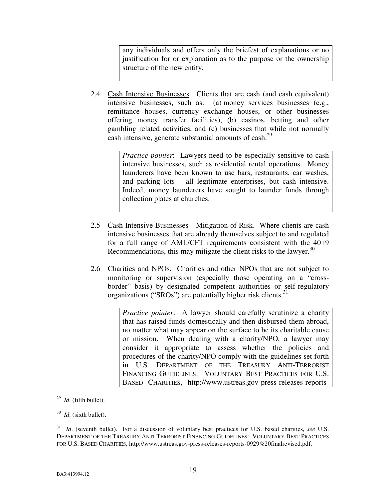any individuals and offers only the briefest of explanations or no justification for or explanation as to the purpose or the ownership structure of the new entity.

2.4 Cash Intensive Businesses. Clients that are cash (and cash equivalent) intensive businesses, such as: (a) money services businesses (e.g., remittance houses, currency exchange houses, or other businesses offering money transfer facilities), (b) casinos, betting and other gambling related activities, and (c) businesses that while not normally cash intensive, generate substantial amounts of cash.<sup>[29](#page-22-0)</sup>

> *Practice pointer*: Lawyers need to be especially sensitive to cash intensive businesses, such as residential rental operations. Money launderers have been known to use bars, restaurants, car washes, and parking lots – all legitimate enterprises, but cash intensive. Indeed, money launderers have sought to launder funds through collection plates at churches.

- 2.5 Cash Intensive Businesses—Mitigation of Risk. Where clients are cash intensive businesses that are already themselves subject to and regulated for a full range of AML/CFT requirements consistent with the 40+9 Recommendations, this may mitigate the client risks to the lawyer.  $30$
- 2.6 Charities and NPOs. Charities and other NPOs that are not subject to monitoring or supervision (especially those operating on a "crossborder" basis) by designated competent authorities or self-regulatory organizations ("SROs") are potentially higher risk clients. $31$

*Practice pointer*: A lawyer should carefully scrutinize a charity that has raised funds domestically and then disbursed them abroad, no matter what may appear on the surface to be its charitable cause or mission. When dealing with a charity/NPO, a lawyer may consider it appropriate to assess whether the policies and procedures of the charity/NPO comply with the guidelines set forth in U.S. DEPARTMENT OF THE TREASURY ANTI-TERRORIST FINANCING GUIDELINES: VOLUNTARY BEST PRACTICES FOR U.S. BASED CHARITIES, http://www.ustreas.gov-press-releases-reports-

<span id="page-22-0"></span> $\frac{29}{29}$  *Id.* (fifth bullet).

<span id="page-22-1"></span><sup>30</sup> *Id*. (sixth bullet).

<span id="page-22-2"></span><sup>31</sup> *Id*. (seventh bullet). For a discussion of voluntary best practices for U.S. based charities, *see* U.S. DEPARTMENT OF THE TREASURY ANTI-TERRORIST FINANCING GUIDELINES: VOLUNTARY BEST PRACTICES FOR U.S. BASED CHARITIES, http://www.ustreas.gov-press-releases-reports-0929%20finalrevised.pdf.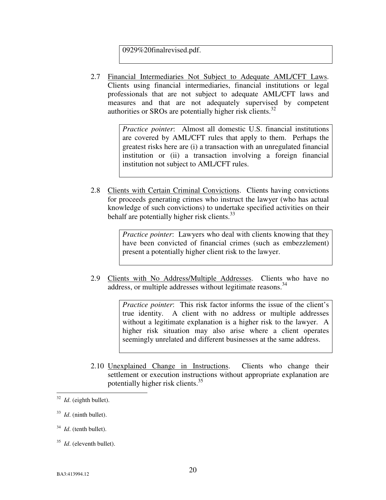0929%20finalrevised.pdf.

2.7 Financial Intermediaries Not Subject to Adequate AML/CFT Laws. Clients using financial intermediaries, financial institutions or legal professionals that are not subject to adequate AML/CFT laws and measures and that are not adequately supervised by competent authorities or SROs are potentially higher risk clients. $32$ 

> *Practice pointer*: Almost all domestic U.S. financial institutions are covered by AML/CFT rules that apply to them. Perhaps the greatest risks here are (i) a transaction with an unregulated financial institution or (ii) a transaction involving a foreign financial institution not subject to AML/CFT rules.

2.8 Clients with Certain Criminal Convictions. Clients having convictions for proceeds generating crimes who instruct the lawyer (who has actual knowledge of such convictions) to undertake specified activities on their behalf are potentially higher risk clients. $33$ 

> *Practice pointer*: Lawyers who deal with clients knowing that they have been convicted of financial crimes (such as embezzlement) present a potentially higher client risk to the lawyer.

2.9 Clients with No Address/Multiple Addresses. Clients who have no address, or multiple addresses without legitimate reasons.<sup>[34](#page-23-2)</sup>

> *Practice pointer*: This risk factor informs the issue of the client's true identity. A client with no address or multiple addresses without a legitimate explanation is a higher risk to the lawyer. A higher risk situation may also arise where a client operates seemingly unrelated and different businesses at the same address.

2.10 Unexplained Change in Instructions. Clients who change their settlement or execution instructions without appropriate explanation are potentially higher risk clients. $35$ 

<span id="page-23-2"></span>34 *Id*. (tenth bullet).

<span id="page-23-0"></span> $\frac{32}{32}$  *Id.* (eighth bullet).

<span id="page-23-1"></span><sup>33</sup> *Id*. (ninth bullet).

<span id="page-23-3"></span><sup>35</sup> *Id*. (eleventh bullet).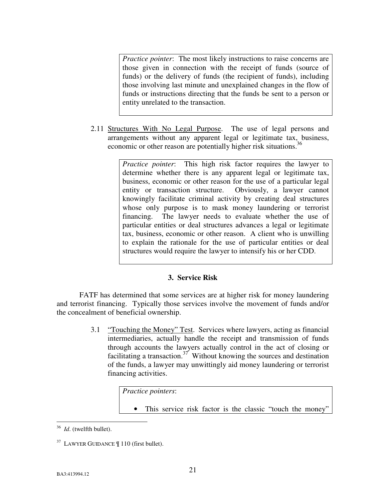*Practice pointer*: The most likely instructions to raise concerns are those given in connection with the receipt of funds (source of funds) or the delivery of funds (the recipient of funds), including those involving last minute and unexplained changes in the flow of funds or instructions directing that the funds be sent to a person or entity unrelated to the transaction.

2.11 Structures With No Legal Purpose. The use of legal persons and arrangements without any apparent legal or legitimate tax, business, economic or other reason are potentially higher risk situations.<sup>[36](#page-24-0)</sup>

> *Practice pointer*: This high risk factor requires the lawyer to determine whether there is any apparent legal or legitimate tax, business, economic or other reason for the use of a particular legal entity or transaction structure. Obviously, a lawyer cannot knowingly facilitate criminal activity by creating deal structures whose only purpose is to mask money laundering or terrorist financing. The lawyer needs to evaluate whether the use of particular entities or deal structures advances a legal or legitimate tax, business, economic or other reason. A client who is unwilling to explain the rationale for the use of particular entities or deal structures would require the lawyer to intensify his or her CDD.

# **3. Service Risk**

FATF has determined that some services are at higher risk for money laundering and terrorist financing. Typically those services involve the movement of funds and/or the concealment of beneficial ownership.

> 3.1 "Touching the Money" Test. Services where lawyers, acting as financial intermediaries, actually handle the receipt and transmission of funds through accounts the lawyers actually control in the act of closing or facilitating a transaction.<sup>[37](#page-24-1)</sup> Without knowing the sources and destination of the funds, a lawyer may unwittingly aid money laundering or terrorist financing activities.

> > *Practice pointers*:

• This service risk factor is the classic "touch the money"

<span id="page-24-0"></span><sup>&</sup>lt;u>.</u> 36 *Id*. (twelfth bullet).

<span id="page-24-1"></span> $37$  LAWYER GUIDANCE  $\parallel$  110 (first bullet).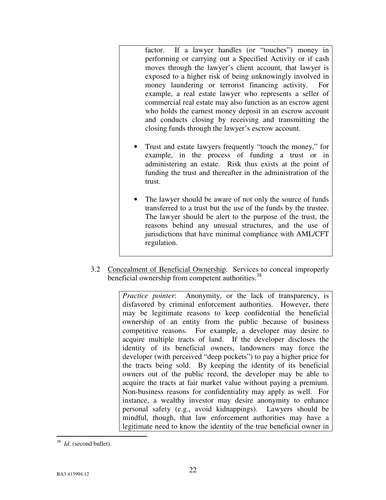factor. If a lawyer handles (or "touches") money in performing or carrying out a Specified Activity or if cash moves through the lawyer's client account, that lawyer is exposed to a higher risk of being unknowingly involved in money laundering or terrorist financing activity. For example, a real estate lawyer who represents a seller of commercial real estate may also function as an escrow agent who holds the earnest money deposit in an escrow account and conducts closing by receiving and transmitting the closing funds through the lawyer's escrow account.

- Trust and estate lawyers frequently "touch the money," for example, in the process of funding a trust or in administering an estate. Risk thus exists at the point of funding the trust and thereafter in the administration of the trust.
- The lawyer should be aware of not only the source of funds transferred to a trust but the use of the funds by the trustee. The lawyer should be alert to the purpose of the trust, the reasons behind any unusual structures, and the use of jurisdictions that have minimal compliance with AML/CFT regulation.
- 3.2 Concealment of Beneficial Ownership. Services to conceal improperly beneficial ownership from competent authorities.<sup>[38](#page-25-0)</sup>

*Practice pointer*: Anonymity, or the lack of transparency, is disfavored by criminal enforcement authorities. However, there may be legitimate reasons to keep confidential the beneficial ownership of an entity from the public because of business competitive reasons. For example, a developer may desire to acquire multiple tracts of land. If the developer discloses the identity of its beneficial owners, landowners may force the developer (with perceived "deep pockets") to pay a higher price for the tracts being sold. By keeping the identity of its beneficial owners out of the public record, the developer may be able to acquire the tracts at fair market value without paying a premium. Non-business reasons for confidentiality may apply as well. For instance, a wealthy investor may desire anonymity to enhance personal safety (e.g., avoid kidnappings). Lawyers should be mindful, though, that law enforcement authorities may have a legitimate need to know the identity of the true beneficial owner in

<span id="page-25-0"></span> $\frac{38}{36}$  *Id.* (second bullet).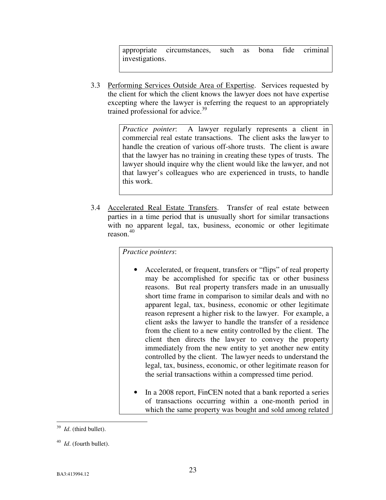appropriate circumstances, such as bona fide criminal investigations.

3.3 Performing Services Outside Area of Expertise. Services requested by the client for which the client knows the lawyer does not have expertise excepting where the lawyer is referring the request to an appropriately trained professional for advice.<sup>[39](#page-26-0)</sup>

> *Practice pointer*: A lawyer regularly represents a client in commercial real estate transactions. The client asks the lawyer to handle the creation of various off-shore trusts. The client is aware that the lawyer has no training in creating these types of trusts. The lawyer should inquire why the client would like the lawyer, and not that lawyer's colleagues who are experienced in trusts, to handle this work.

3.4 Accelerated Real Estate Transfers. Transfer of real estate between parties in a time period that is unusually short for similar transactions with no apparent legal, tax, business, economic or other legitimate reason. [40](#page-26-1)

*Practice pointers*:

- Accelerated, or frequent, transfers or "flips" of real property may be accomplished for specific tax or other business reasons. But real property transfers made in an unusually short time frame in comparison to similar deals and with no apparent legal, tax, business, economic or other legitimate reason represent a higher risk to the lawyer. For example, a client asks the lawyer to handle the transfer of a residence from the client to a new entity controlled by the client. The client then directs the lawyer to convey the property immediately from the new entity to yet another new entity controlled by the client. The lawyer needs to understand the legal, tax, business, economic, or other legitimate reason for the serial transactions within a compressed time period.
- In a 2008 report, FinCEN noted that a bank reported a series of transactions occurring within a one-month period in which the same property was bought and sold among related

<span id="page-26-0"></span> $\frac{39}{39}$  *Id.* (third bullet).

<span id="page-26-1"></span><sup>40</sup> *Id*. (fourth bullet).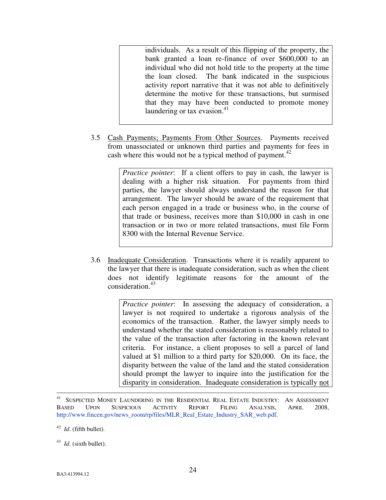individuals. As a result of this flipping of the property, the bank granted a loan re-finance of over \$600,000 to an individual who did not hold title to the property at the time the loan closed. The bank indicated in the suspicious activity report narrative that it was not able to definitively determine the motive for these transactions, but surmised that they may have been conducted to promote money laundering or tax evasion. $41$ 

3.5 Cash Payments; Payments From Other Sources. Payments received from unassociated or unknown third parties and payments for fees in cash where this would not be a typical method of payment.<sup>[42](#page-27-1)</sup>

> *Practice pointer*: If a client offers to pay in cash, the lawyer is dealing with a higher risk situation. For payments from third parties, the lawyer should always understand the reason for that arrangement. The lawyer should be aware of the requirement that each person engaged in a trade or business who, in the course of that trade or business, receives more than \$10,000 in cash in one transaction or in two or more related transactions, must file Form 8300 with the Internal Revenue Service.

3.6 Inadequate Consideration. Transactions where it is readily apparent to the lawyer that there is inadequate consideration, such as when the client does not identify legitimate reasons for the amount of the consideration.<sup>[43](#page-27-2)</sup>

> *Practice pointer*: In assessing the adequacy of consideration, a lawyer is not required to undertake a rigorous analysis of the economics of the transaction. Rather, the lawyer simply needs to understand whether the stated consideration is reasonably related to the value of the transaction after factoring in the known relevant criteria. For instance, a client proposes to sell a parcel of land valued at \$1 million to a third party for \$20,000. On its face, the disparity between the value of the land and the stated consideration should prompt the lawyer to inquire into the justification for the disparity in consideration. Inadequate consideration is typically not

<span id="page-27-0"></span><sup>&</sup>lt;u>.</u> <sup>41</sup> SUSPECTED MONEY LAUNDERING IN THE RESIDENTIAL REAL ESTATE INDUSTRY: AN ASSESSMENT BASED UPON SUSPICIOUS ACTIVITY REPORT FILING ANALYSIS, APRIL 2008, http://www.fincen.gov/news\_room/rp/files/MLR\_Real\_Estate\_Industry\_SAR\_web.pdf.

<span id="page-27-1"></span><sup>42</sup> *Id*. (fifth bullet).

<span id="page-27-2"></span><sup>43</sup> *Id*. (sixth bullet).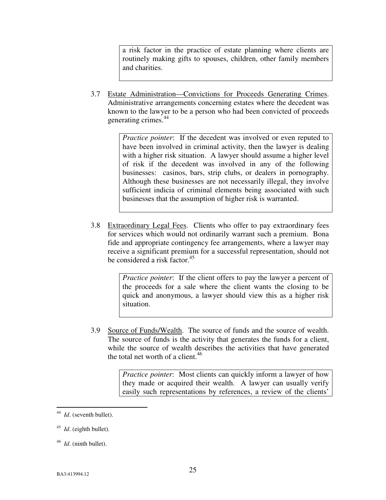a risk factor in the practice of estate planning where clients are routinely making gifts to spouses, children, other family members and charities.

3.7 Estate Administration—Convictions for Proceeds Generating Crimes. Administrative arrangements concerning estates where the decedent was known to the lawyer to be a person who had been convicted of proceeds generating crimes.<sup>[44](#page-28-0)</sup>

> *Practice pointer*: If the decedent was involved or even reputed to have been involved in criminal activity, then the lawyer is dealing with a higher risk situation. A lawyer should assume a higher level of risk if the decedent was involved in any of the following businesses: casinos, bars, strip clubs, or dealers in pornography. Although these businesses are not necessarily illegal, they involve sufficient indicia of criminal elements being associated with such businesses that the assumption of higher risk is warranted.

3.8 Extraordinary Legal Fees. Clients who offer to pay extraordinary fees for services which would not ordinarily warrant such a premium. Bona fide and appropriate contingency fee arrangements, where a lawyer may receive a significant premium for a successful representation, should not be considered a risk factor. $45$ 

> *Practice pointer*: If the client offers to pay the lawyer a percent of the proceeds for a sale where the client wants the closing to be quick and anonymous, a lawyer should view this as a higher risk situation.

3.9 Source of Funds/Wealth. The source of funds and the source of wealth. The source of funds is the activity that generates the funds for a client, while the source of wealth describes the activities that have generated the total net worth of a client.<sup>[46](#page-28-2)</sup>

> *Practice pointer*: Most clients can quickly inform a lawyer of how they made or acquired their wealth. A lawyer can usually verify easily such representations by references, a review of the clients'

<span id="page-28-0"></span> $\frac{44}{1}$ *Id.* (seventh bullet).

<span id="page-28-1"></span><sup>45</sup> *Id*. (eighth bullet).

<span id="page-28-2"></span><sup>46</sup> *Id*. (ninth bullet).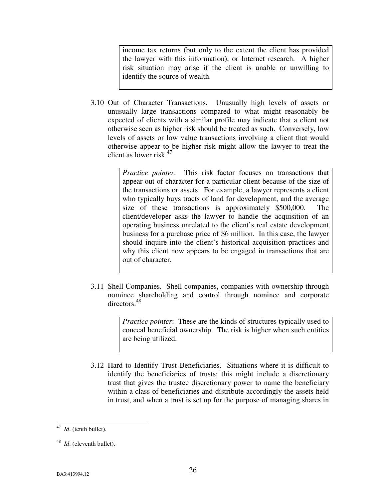income tax returns (but only to the extent the client has provided the lawyer with this information), or Internet research. A higher risk situation may arise if the client is unable or unwilling to identify the source of wealth.

3.10 Out of Character Transactions. Unusually high levels of assets or unusually large transactions compared to what might reasonably be expected of clients with a similar profile may indicate that a client not otherwise seen as higher risk should be treated as such. Conversely, low levels of assets or low value transactions involving a client that would otherwise appear to be higher risk might allow the lawyer to treat the client as lower risk  $47$ 

> *Practice pointer*: This risk factor focuses on transactions that appear out of character for a particular client because of the size of the transactions or assets. For example, a lawyer represents a client who typically buys tracts of land for development, and the average size of these transactions is approximately \$500,000. The client/developer asks the lawyer to handle the acquisition of an operating business unrelated to the client's real estate development business for a purchase price of \$6 million. In this case, the lawyer should inquire into the client's historical acquisition practices and why this client now appears to be engaged in transactions that are out of character.

3.11 Shell Companies. Shell companies, companies with ownership through nominee shareholding and control through nominee and corporate directors.[48](#page-29-1)

> *Practice pointer*: These are the kinds of structures typically used to conceal beneficial ownership. The risk is higher when such entities are being utilized.

3.12 Hard to Identify Trust Beneficiaries. Situations where it is difficult to identify the beneficiaries of trusts; this might include a discretionary trust that gives the trustee discretionary power to name the beneficiary within a class of beneficiaries and distribute accordingly the assets held in trust, and when a trust is set up for the purpose of managing shares in

<span id="page-29-0"></span> $\frac{47}{47}$  *Id.* (tenth bullet).

<span id="page-29-1"></span><sup>48</sup> *Id*. (eleventh bullet).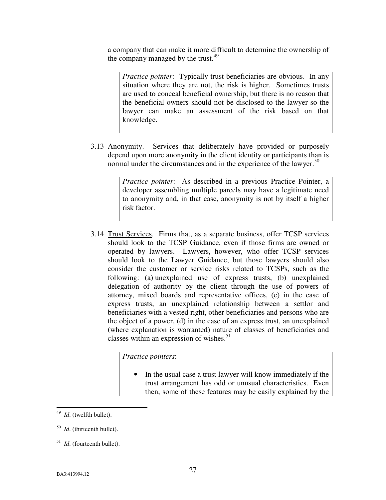a company that can make it more difficult to determine the ownership of the company managed by the trust. $49$ 

*Practice pointer*: Typically trust beneficiaries are obvious. In any situation where they are not, the risk is higher. Sometimes trusts are used to conceal beneficial ownership, but there is no reason that the beneficial owners should not be disclosed to the lawyer so the lawyer can make an assessment of the risk based on that knowledge.

3.13 Anonymity. Services that deliberately have provided or purposely depend upon more anonymity in the client identity or participants than is normal under the circumstances and in the experience of the lawyer.<sup>[50](#page-30-1)</sup>

> *Practice pointer*: As described in a previous Practice Pointer, a developer assembling multiple parcels may have a legitimate need to anonymity and, in that case, anonymity is not by itself a higher risk factor.

3.14 Trust Services. Firms that, as a separate business, offer TCSP services should look to the TCSP Guidance, even if those firms are owned or operated by lawyers. Lawyers, however, who offer TCSP services should look to the Lawyer Guidance, but those lawyers should also consider the customer or service risks related to TCSPs, such as the following: (a) unexplained use of express trusts, (b) unexplained delegation of authority by the client through the use of powers of attorney, mixed boards and representative offices, (c) in the case of express trusts, an unexplained relationship between a settlor and beneficiaries with a vested right, other beneficiaries and persons who are the object of a power, (d) in the case of an express trust, an unexplained (where explanation is warranted) nature of classes of beneficiaries and classes within an expression of wishes. $51$ 

*Practice pointers*:

In the usual case a trust lawyer will know immediately if the trust arrangement has odd or unusual characteristics. Even then, some of these features may be easily explained by the

<span id="page-30-0"></span> $\frac{49}{49}$  *Id.* (twelfth bullet).

<span id="page-30-1"></span><sup>50</sup> *Id*. (thirteenth bullet).

<span id="page-30-2"></span><sup>51</sup> *Id*. (fourteenth bullet).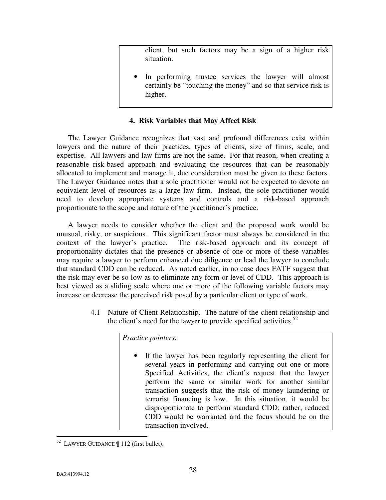client, but such factors may be a sign of a higher risk situation.

In performing trustee services the lawyer will almost certainly be "touching the money" and so that service risk is higher.

## **4. Risk Variables that May Affect Risk**

The Lawyer Guidance recognizes that vast and profound differences exist within lawyers and the nature of their practices, types of clients, size of firms, scale, and expertise. All lawyers and law firms are not the same. For that reason, when creating a reasonable risk-based approach and evaluating the resources that can be reasonably allocated to implement and manage it, due consideration must be given to these factors. The Lawyer Guidance notes that a sole practitioner would not be expected to devote an equivalent level of resources as a large law firm. Instead, the sole practitioner would need to develop appropriate systems and controls and a risk-based approach proportionate to the scope and nature of the practitioner's practice.

A lawyer needs to consider whether the client and the proposed work would be unusual, risky, or suspicious. This significant factor must always be considered in the context of the lawyer's practice. The risk-based approach and its concept of proportionality dictates that the presence or absence of one or more of these variables may require a lawyer to perform enhanced due diligence or lead the lawyer to conclude that standard CDD can be reduced. As noted earlier, in no case does FATF suggest that the risk may ever be so low as to eliminate any form or level of CDD. This approach is best viewed as a sliding scale where one or more of the following variable factors may increase or decrease the perceived risk posed by a particular client or type of work.

> 4.1 Nature of Client Relationship. The nature of the client relationship and the client's need for the lawyer to provide specified activities. $52$

> > *Practice pointers*:

If the lawyer has been regularly representing the client for several years in performing and carrying out one or more Specified Activities, the client's request that the lawyer perform the same or similar work for another similar transaction suggests that the risk of money laundering or terrorist financing is low. In this situation, it would be disproportionate to perform standard CDD; rather, reduced CDD would be warranted and the focus should be on the transaction involved.

<span id="page-31-0"></span><sup>&</sup>lt;u>.</u>  $52$  LAWYER GUIDANCE  $\parallel$  112 (first bullet).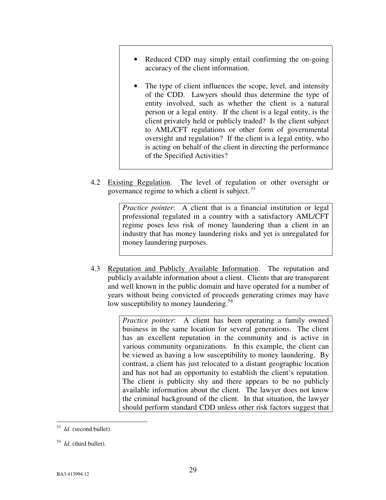- Reduced CDD may simply entail confirming the on-going accuracy of the client information.
- The type of client influences the scope, level, and intensity of the CDD. Lawyers should thus determine the type of entity involved, such as whether the client is a natural person or a legal entity. If the client is a legal entity, is the client privately held or publicly traded? Is the client subject to AML/CFT regulations or other form of governmental oversight and regulation? If the client is a legal entity, who is acting on behalf of the client in directing the performance of the Specified Activities?
- 4.2 Existing Regulation. The level of regulation or other oversight or governance regime to which a client is subject.<sup>[53](#page-32-0)</sup>

*Practice pointer*: A client that is a financial institution or legal professional regulated in a country with a satisfactory AML/CFT regime poses less risk of money laundering than a client in an industry that has money laundering risks and yet is unregulated for money laundering purposes.

4.3 Reputation and Publicly Available Information. The reputation and publicly available information about a client. Clients that are transparent and well known in the public domain and have operated for a number of years without being convicted of proceeds generating crimes may have low susceptibility to money laundering.<sup>[54](#page-32-1)</sup>

> *Practice pointer*: A client has been operating a family owned business in the same location for several generations. The client has an excellent reputation in the community and is active in various community organizations. In this example, the client can be viewed as having a low susceptibility to money laundering. By contrast, a client has just relocated to a distant geographic location and has not had an opportunity to establish the client's reputation. The client is publicity shy and there appears to be no publicly available information about the client. The lawyer does not know the criminal background of the client. In that situation, the lawyer should perform standard CDD unless other risk factors suggest that

<span id="page-32-0"></span> $\frac{53}{1}$  *Id.* (second bullet).

<span id="page-32-1"></span><sup>54</sup> *Id*. (third bullet).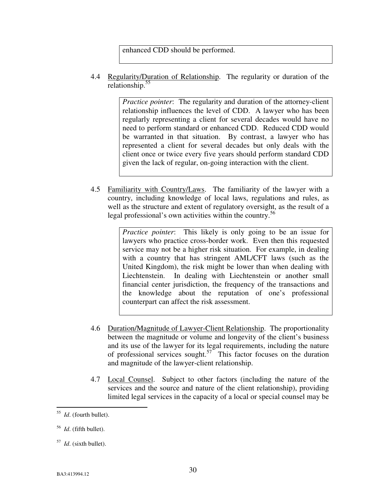enhanced CDD should be performed.

4.4 Regularity/Duration of Relationship. The regularity or duration of the relationship.<sup>[55](#page-33-0)</sup>

> *Practice pointer*: The regularity and duration of the attorney-client relationship influences the level of CDD. A lawyer who has been regularly representing a client for several decades would have no need to perform standard or enhanced CDD. Reduced CDD would be warranted in that situation. By contrast, a lawyer who has represented a client for several decades but only deals with the client once or twice every five years should perform standard CDD given the lack of regular, on-going interaction with the client.

4.5 Familiarity with Country/Laws. The familiarity of the lawyer with a country, including knowledge of local laws, regulations and rules, as well as the structure and extent of regulatory oversight, as the result of a legal professional's own activities within the country.<sup>[56](#page-33-1)</sup>

> *Practice pointer*: This likely is only going to be an issue for lawyers who practice cross-border work. Even then this requested service may not be a higher risk situation. For example, in dealing with a country that has stringent AML/CFT laws (such as the United Kingdom), the risk might be lower than when dealing with Liechtenstein. In dealing with Liechtenstein or another small financial center jurisdiction, the frequency of the transactions and the knowledge about the reputation of one's professional counterpart can affect the risk assessment.

- 4.6 Duration/Magnitude of Lawyer-Client Relationship. The proportionality between the magnitude or volume and longevity of the client's business and its use of the lawyer for its legal requirements, including the nature of professional services sought.<sup>[57](#page-33-2)</sup> This factor focuses on the duration and magnitude of the lawyer-client relationship.
- 4.7 Local Counsel. Subject to other factors (including the nature of the services and the source and nature of the client relationship), providing limited legal services in the capacity of a local or special counsel may be

<span id="page-33-0"></span> 55 *Id*. (fourth bullet).

<span id="page-33-1"></span><sup>56</sup> *Id*. (fifth bullet).

<span id="page-33-2"></span><sup>57</sup> *Id*. (sixth bullet).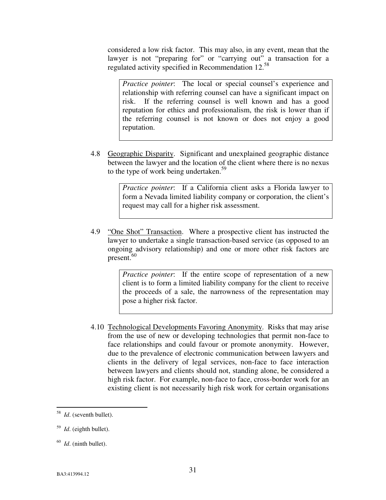considered a low risk factor. This may also, in any event, mean that the lawyer is not "preparing for" or "carrying out" a transaction for a regulated activity specified in Recommendation 12.[58](#page-34-0)

*Practice pointer*: The local or special counsel's experience and relationship with referring counsel can have a significant impact on risk. If the referring counsel is well known and has a good reputation for ethics and professionalism, the risk is lower than if the referring counsel is not known or does not enjoy a good reputation.

4.8 Geographic Disparity. Significant and unexplained geographic distance between the lawyer and the location of the client where there is no nexus to the type of work being undertaken. $59$ 

> *Practice pointer*: If a California client asks a Florida lawyer to form a Nevada limited liability company or corporation, the client's request may call for a higher risk assessment.

4.9 "One Shot" Transaction. Where a prospective client has instructed the lawyer to undertake a single transaction-based service (as opposed to an ongoing advisory relationship) and one or more other risk factors are  $present.<sup>60</sup>$  $present.<sup>60</sup>$  $present.<sup>60</sup>$ 

> *Practice pointer*: If the entire scope of representation of a new client is to form a limited liability company for the client to receive the proceeds of a sale, the narrowness of the representation may pose a higher risk factor.

4.10 Technological Developments Favoring Anonymity. Risks that may arise from the use of new or developing technologies that permit non-face to face relationships and could favour or promote anonymity. However, due to the prevalence of electronic communication between lawyers and clients in the delivery of legal services, non-face to face interaction between lawyers and clients should not, standing alone, be considered a high risk factor. For example, non-face to face, cross-border work for an existing client is not necessarily high risk work for certain organisations

<span id="page-34-0"></span> 58 *Id*. (seventh bullet).

<span id="page-34-1"></span><sup>59</sup> *Id*. (eighth bullet).

<span id="page-34-2"></span><sup>60</sup> *Id*. (ninth bullet).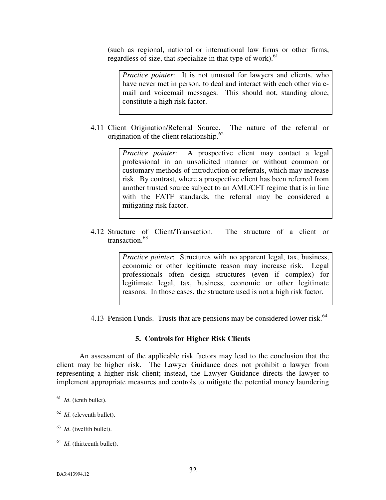(such as regional, national or international law firms or other firms, regardless of size, that specialize in that type of work). $61$ 

*Practice pointer*: It is not unusual for lawyers and clients, who have never met in person, to deal and interact with each other via email and voicemail messages. This should not, standing alone, constitute a high risk factor.

4.11 Client Origination/Referral Source. The nature of the referral or origination of the client relationship. $62$ 

> *Practice pointer*: A prospective client may contact a legal professional in an unsolicited manner or without common or customary methods of introduction or referrals, which may increase risk. By contrast, where a prospective client has been referred from another trusted source subject to an AML/CFT regime that is in line with the FATF standards, the referral may be considered a mitigating risk factor.

4.12 Structure of Client/Transaction. The structure of a client or transaction. $63$ 

> *Practice pointer*: Structures with no apparent legal, tax, business, economic or other legitimate reason may increase risk. Legal professionals often design structures (even if complex) for legitimate legal, tax, business, economic or other legitimate reasons. In those cases, the structure used is not a high risk factor.

4.13 Pension Funds. Trusts that are pensions may be considered lower risk.<sup>[64](#page-35-3)</sup>

# **5. Controls for Higher Risk Clients**

 An assessment of the applicable risk factors may lead to the conclusion that the client may be higher risk. The Lawyer Guidance does not prohibit a lawyer from representing a higher risk client; instead, the Lawyer Guidance directs the lawyer to implement appropriate measures and controls to mitigate the potential money laundering

<span id="page-35-0"></span> $\frac{61}{1}$  *Id.* (tenth bullet).

<span id="page-35-1"></span><sup>62</sup> *Id*. (eleventh bullet).

<span id="page-35-2"></span><sup>63</sup> *Id*. (twelfth bullet).

<span id="page-35-3"></span><sup>&</sup>lt;sup>64</sup> *Id*. (thirteenth bullet).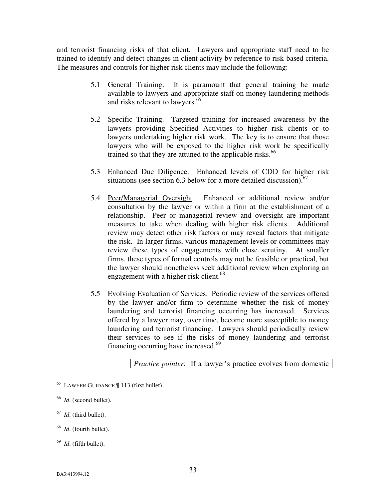and terrorist financing risks of that client. Lawyers and appropriate staff need to be trained to identify and detect changes in client activity by reference to risk-based criteria. The measures and controls for higher risk clients may include the following:

- 5.1 General Training. It is paramount that general training be made available to lawyers and appropriate staff on money laundering methods and risks relevant to lawyers.<sup>[65](#page-36-0)</sup>
- 5.2 Specific Training. Targeted training for increased awareness by the lawyers providing Specified Activities to higher risk clients or to lawyers undertaking higher risk work. The key is to ensure that those lawyers who will be exposed to the higher risk work be specifically trained so that they are attuned to the applicable risks.<sup>[66](#page-36-1)</sup>
- 5.3 Enhanced Due Diligence. Enhanced levels of CDD for higher risk situations (see section 6.3 below for a more detailed discussion).  $67$
- 5.4 Peer/Managerial Oversight. Enhanced or additional review and/or consultation by the lawyer or within a firm at the establishment of a relationship. Peer or managerial review and oversight are important measures to take when dealing with higher risk clients. Additional review may detect other risk factors or may reveal factors that mitigate the risk. In larger firms, various management levels or committees may review these types of engagements with close scrutiny. At smaller firms, these types of formal controls may not be feasible or practical, but the lawyer should nonetheless seek additional review when exploring an engagement with a higher risk client.<sup>[68](#page-36-3)</sup>
- 5.5 Evolving Evaluation of Services. Periodic review of the services offered by the lawyer and/or firm to determine whether the risk of money laundering and terrorist financing occurring has increased. Services offered by a lawyer may, over time, become more susceptible to money laundering and terrorist financing. Lawyers should periodically review their services to see if the risks of money laundering and terrorist financing occurring have increased.<sup>[69](#page-36-4)</sup>

*Practice pointer*: If a lawyer's practice evolves from domestic

<u>.</u>

- <span id="page-36-3"></span>68 *Id*. (fourth bullet).
- <span id="page-36-4"></span>69 *Id*. (fifth bullet).

<span id="page-36-0"></span><sup>65</sup> LAWYER GUIDANCE ¶ 113 (first bullet).

<span id="page-36-1"></span><sup>66</sup> *Id*. (second bullet).

<span id="page-36-2"></span><sup>67</sup> *Id*. (third bullet).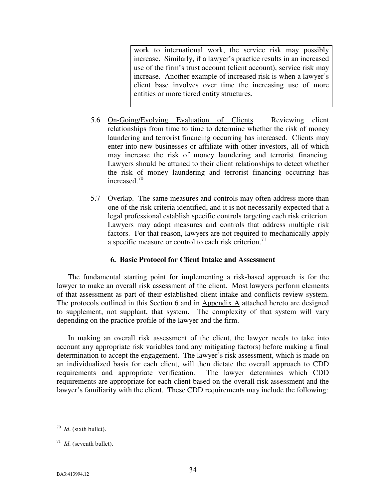work to international work, the service risk may possibly increase. Similarly, if a lawyer's practice results in an increased use of the firm's trust account (client account), service risk may increase. Another example of increased risk is when a lawyer's client base involves over time the increasing use of more entities or more tiered entity structures.

- 5.6 On-Going/Evolving Evaluation of Clients. Reviewing client relationships from time to time to determine whether the risk of money laundering and terrorist financing occurring has increased. Clients may enter into new businesses or affiliate with other investors, all of which may increase the risk of money laundering and terrorist financing. Lawyers should be attuned to their client relationships to detect whether the risk of money laundering and terrorist financing occurring has increased.<sup>[70](#page-37-0)</sup>
- 5.7 Overlap. The same measures and controls may often address more than one of the risk criteria identified, and it is not necessarily expected that a legal professional establish specific controls targeting each risk criterion. Lawyers may adopt measures and controls that address multiple risk factors. For that reason, lawyers are not required to mechanically apply a specific measure or control to each risk criterion.<sup>[71](#page-37-1)</sup>

#### **6. Basic Protocol for Client Intake and Assessment**

The fundamental starting point for implementing a risk-based approach is for the lawyer to make an overall risk assessment of the client. Most lawyers perform elements of that assessment as part of their established client intake and conflicts review system. The protocols outlined in this Section 6 and in Appendix A attached hereto are designed to supplement, not supplant, that system. The complexity of that system will vary depending on the practice profile of the lawyer and the firm.

In making an overall risk assessment of the client, the lawyer needs to take into account any appropriate risk variables (and any mitigating factors) before making a final determination to accept the engagement. The lawyer's risk assessment, which is made on an individualized basis for each client, will then dictate the overall approach to CDD requirements and appropriate verification. The lawyer determines which CDD requirements are appropriate for each client based on the overall risk assessment and the lawyer's familiarity with the client. These CDD requirements may include the following:

<span id="page-37-0"></span> $\frac{70}{10}$  *Id.* (sixth bullet).

<span id="page-37-1"></span> $1/71$  *Id.* (seventh bullet).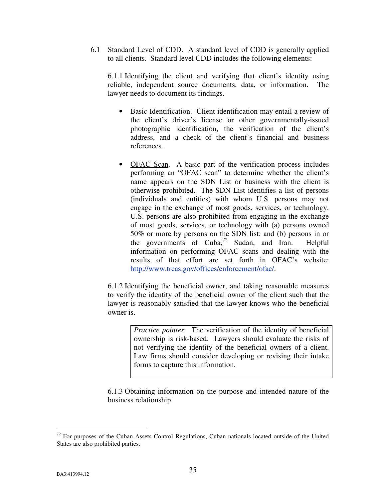6.1 Standard Level of CDD. A standard level of CDD is generally applied to all clients. Standard level CDD includes the following elements:

6.1.1 Identifying the client and verifying that client's identity using reliable, independent source documents, data, or information. The lawyer needs to document its findings.

- Basic Identification. Client identification may entail a review of the client's driver's license or other governmentally-issued photographic identification, the verification of the client's address, and a check of the client's financial and business references.
- OFAC Scan. A basic part of the verification process includes performing an "OFAC scan" to determine whether the client's name appears on the SDN List or business with the client is otherwise prohibited. The SDN List identifies a list of persons (individuals and entities) with whom U.S. persons may not engage in the exchange of most goods, services, or technology. U.S. persons are also prohibited from engaging in the exchange of most goods, services, or technology with (a) persons owned 50% or more by persons on the SDN list; and (b) persons in or the governments of  $Cuba<sup>72</sup>$  $Cuba<sup>72</sup>$  $Cuba<sup>72</sup>$  Sudan, and Iran. Helpful information on performing OFAC scans and dealing with the results of that effort are set forth in OFAC's website: http://www.treas.gov/offices/enforcement/ofac/.

6.1.2 Identifying the beneficial owner, and taking reasonable measures to verify the identity of the beneficial owner of the client such that the lawyer is reasonably satisfied that the lawyer knows who the beneficial owner is.

> *Practice pointer*: The verification of the identity of beneficial ownership is risk-based. Lawyers should evaluate the risks of not verifying the identity of the beneficial owners of a client. Law firms should consider developing or revising their intake forms to capture this information.

6.1.3 Obtaining information on the purpose and intended nature of the business relationship.

<u>.</u>

<span id="page-38-0"></span> $72$  For purposes of the Cuban Assets Control Regulations, Cuban nationals located outside of the United States are also prohibited parties.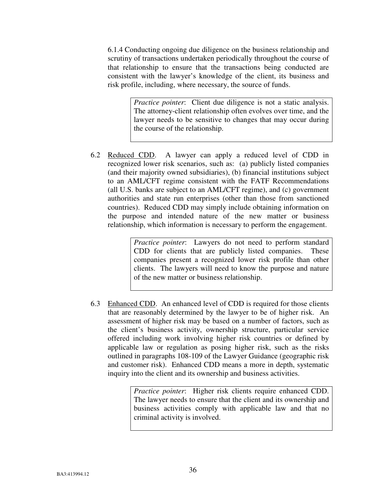6.1.4 Conducting ongoing due diligence on the business relationship and scrutiny of transactions undertaken periodically throughout the course of that relationship to ensure that the transactions being conducted are consistent with the lawyer's knowledge of the client, its business and risk profile, including, where necessary, the source of funds.

> *Practice pointer*: Client due diligence is not a static analysis. The attorney-client relationship often evolves over time, and the lawyer needs to be sensitive to changes that may occur during the course of the relationship.

6.2 Reduced CDD. A lawyer can apply a reduced level of CDD in recognized lower risk scenarios, such as: (a) publicly listed companies (and their majority owned subsidiaries), (b) financial institutions subject to an AML/CFT regime consistent with the FATF Recommendations (all U.S. banks are subject to an AML/CFT regime), and (c) government authorities and state run enterprises (other than those from sanctioned countries). Reduced CDD may simply include obtaining information on the purpose and intended nature of the new matter or business relationship, which information is necessary to perform the engagement.

> *Practice pointer*: Lawyers do not need to perform standard CDD for clients that are publicly listed companies. These companies present a recognized lower risk profile than other clients. The lawyers will need to know the purpose and nature of the new matter or business relationship.

6.3 Enhanced CDD. An enhanced level of CDD is required for those clients that are reasonably determined by the lawyer to be of higher risk. An assessment of higher risk may be based on a number of factors, such as the client's business activity, ownership structure, particular service offered including work involving higher risk countries or defined by applicable law or regulation as posing higher risk, such as the risks outlined in paragraphs 108-109 of the Lawyer Guidance (geographic risk and customer risk). Enhanced CDD means a more in depth, systematic inquiry into the client and its ownership and business activities.

> *Practice pointer*: Higher risk clients require enhanced CDD. The lawyer needs to ensure that the client and its ownership and business activities comply with applicable law and that no criminal activity is involved.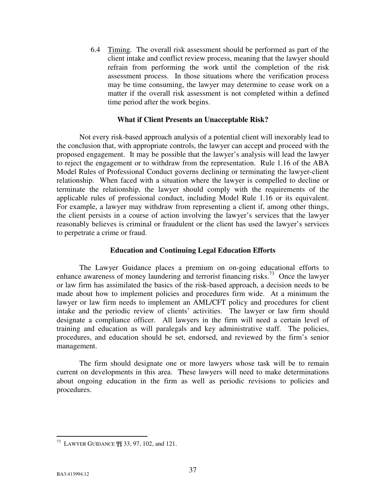6.4 Timing. The overall risk assessment should be performed as part of the client intake and conflict review process, meaning that the lawyer should refrain from performing the work until the completion of the risk assessment process. In those situations where the verification process may be time consuming, the lawyer may determine to cease work on a matter if the overall risk assessment is not completed within a defined time period after the work begins.

#### **What if Client Presents an Unacceptable Risk?**

Not every risk-based approach analysis of a potential client will inexorably lead to the conclusion that, with appropriate controls, the lawyer can accept and proceed with the proposed engagement. It may be possible that the lawyer's analysis will lead the lawyer to reject the engagement or to withdraw from the representation. Rule 1.16 of the ABA Model Rules of Professional Conduct governs declining or terminating the lawyer-client relationship. When faced with a situation where the lawyer is compelled to decline or terminate the relationship, the lawyer should comply with the requirements of the applicable rules of professional conduct, including Model Rule 1.16 or its equivalent. For example, a lawyer may withdraw from representing a client if, among other things, the client persists in a course of action involving the lawyer's services that the lawyer reasonably believes is criminal or fraudulent or the client has used the lawyer's services to perpetrate a crime or fraud.

#### **Education and Continuing Legal Education Efforts**

The Lawyer Guidance places a premium on on-going educational efforts to enhance awareness of money laundering and terrorist financing risks.[73](#page-40-0) Once the lawyer or law firm has assimilated the basics of the risk-based approach, a decision needs to be made about how to implement policies and procedures firm wide. At a minimum the lawyer or law firm needs to implement an AML/CFT policy and procedures for client intake and the periodic review of clients' activities. The lawyer or law firm should designate a compliance officer. All lawyers in the firm will need a certain level of training and education as will paralegals and key administrative staff. The policies, procedures, and education should be set, endorsed, and reviewed by the firm's senior management.

The firm should designate one or more lawyers whose task will be to remain current on developments in this area. These lawyers will need to make determinations about ongoing education in the firm as well as periodic revisions to policies and procedures.

<span id="page-40-0"></span><sup>&</sup>lt;u>.</u> <sup>73</sup> LAWYER GUIDANCE  $\mathbb{I}$  33, 97, 102, and 121.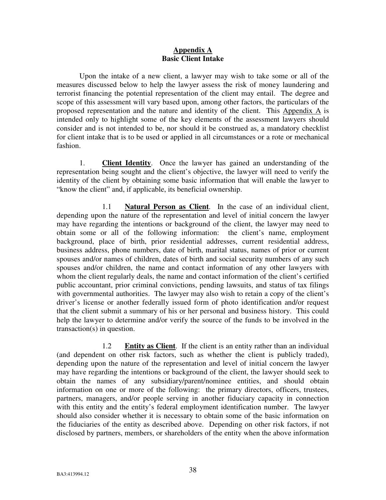### **Appendix A Basic Client Intake**

Upon the intake of a new client, a lawyer may wish to take some or all of the measures discussed below to help the lawyer assess the risk of money laundering and terrorist financing the potential representation of the client may entail. The degree and scope of this assessment will vary based upon, among other factors, the particulars of the proposed representation and the nature and identity of the client. This Appendix A is intended only to highlight some of the key elements of the assessment lawyers should consider and is not intended to be, nor should it be construed as, a mandatory checklist for client intake that is to be used or applied in all circumstances or a rote or mechanical fashion.

1. **Client Identity**. Once the lawyer has gained an understanding of the representation being sought and the client's objective, the lawyer will need to verify the identity of the client by obtaining some basic information that will enable the lawyer to "know the client" and, if applicable, its beneficial ownership.

 1.1 **Natural Person as Client**. In the case of an individual client, depending upon the nature of the representation and level of initial concern the lawyer may have regarding the intentions or background of the client, the lawyer may need to obtain some or all of the following information: the client's name, employment background, place of birth, prior residential addresses, current residential address, business address, phone numbers, date of birth, marital status, names of prior or current spouses and/or names of children, dates of birth and social security numbers of any such spouses and/or children, the name and contact information of any other lawyers with whom the client regularly deals, the name and contact information of the client's certified public accountant, prior criminal convictions, pending lawsuits, and status of tax filings with governmental authorities. The lawyer may also wish to retain a copy of the client's driver's license or another federally issued form of photo identification and/or request that the client submit a summary of his or her personal and business history. This could help the lawyer to determine and/or verify the source of the funds to be involved in the transaction(s) in question.

1.2 **Entity as Client**. If the client is an entity rather than an individual (and dependent on other risk factors, such as whether the client is publicly traded), depending upon the nature of the representation and level of initial concern the lawyer may have regarding the intentions or background of the client, the lawyer should seek to obtain the names of any subsidiary/parent/nominee entities, and should obtain information on one or more of the following: the primary directors, officers, trustees, partners, managers, and/or people serving in another fiduciary capacity in connection with this entity and the entity's federal employment identification number. The lawyer should also consider whether it is necessary to obtain some of the basic information on the fiduciaries of the entity as described above. Depending on other risk factors, if not disclosed by partners, members, or shareholders of the entity when the above information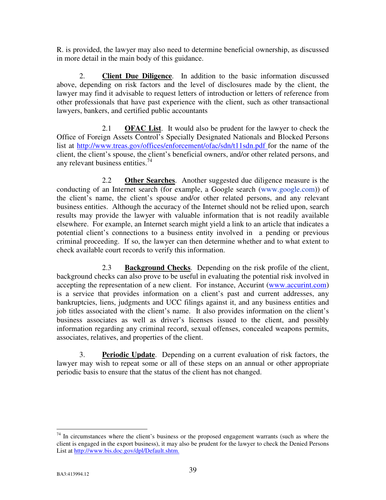R. is provided, the lawyer may also need to determine beneficial ownership, as discussed in more detail in the main body of this guidance.

2. **Client Due Diligence**. In addition to the basic information discussed above, depending on risk factors and the level of disclosures made by the client, the lawyer may find it advisable to request letters of introduction or letters of reference from other professionals that have past experience with the client, such as other transactional lawyers, bankers, and certified public accountants

2.1 **OFAC List**. It would also be prudent for the lawyer to check the Office of Foreign Assets Control's Specially Designated Nationals and Blocked Persons list at http://www.treas.gov/offices/enforcement/ofac/sdn/t11sdn.pdf for the name of the client, the client's spouse, the client's beneficial owners, and/or other related persons, and any relevant business entities. $^{74}$  $^{74}$  $^{74}$ 

2.2 **Other Searches**. Another suggested due diligence measure is the conducting of an Internet search (for example, a Google search [\(www.google.com\)](http://www.google.com/)) of the client's name, the client's spouse and/or other related persons, and any relevant business entities. Although the accuracy of the Internet should not be relied upon, search results may provide the lawyer with valuable information that is not readily available elsewhere. For example, an Internet search might yield a link to an article that indicates a potential client's connections to a business entity involved in a pending or previous criminal proceeding. If so, the lawyer can then determine whether and to what extent to check available court records to verify this information.

2.3 **Background Checks**. Depending on the risk profile of the client, background checks can also prove to be useful in evaluating the potential risk involved in accepting the representation of a new client. For instance, Accurint (www.accurint.com) is a service that provides information on a client's past and current addresses, any bankruptcies, liens, judgments and UCC filings against it, and any business entities and job titles associated with the client's name. It also provides information on the client's business associates as well as driver's licenses issued to the client, and possibly information regarding any criminal record, sexual offenses, concealed weapons permits, associates, relatives, and properties of the client.

3. **Periodic Update**. Depending on a current evaluation of risk factors, the lawyer may wish to repeat some or all of these steps on an annual or other appropriate periodic basis to ensure that the status of the client has not changed.

<u>.</u>

<span id="page-42-0"></span> $74$  In circumstances where the client's business or the proposed engagement warrants (such as where the client is engaged in the export business), it may also be prudent for the lawyer to check the Denied Persons List at http://www.bis.doc.gov/dpl/Default.shtm.